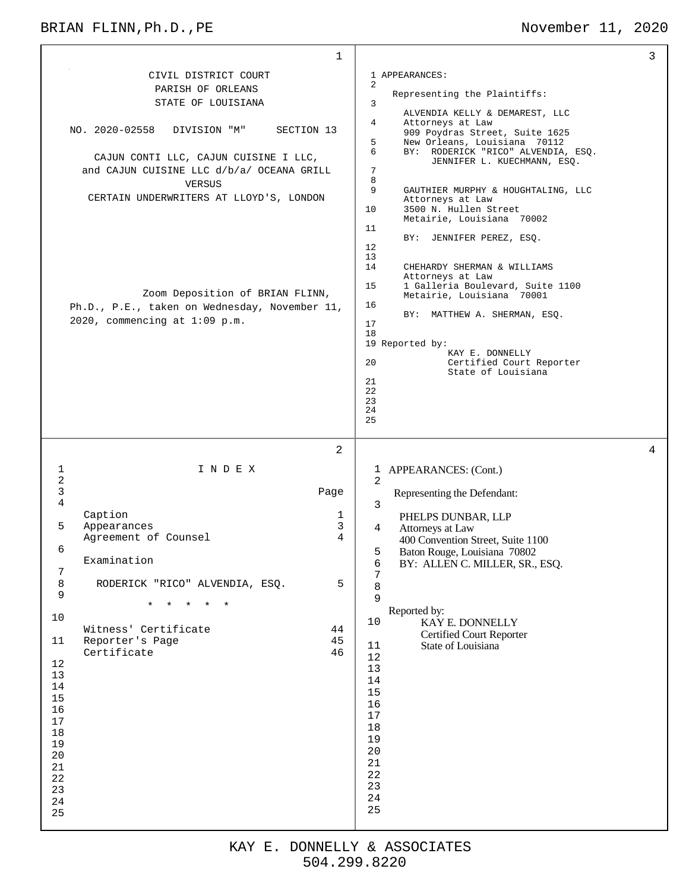## BRIAN FLINN, Ph.D., PE November 11, 2020

| $\mathbf{1}$                                                                                                                                                                                                                                                                                                                                                                                                                         |                                                                                                                                                                                                                                                                                                                                                                                                                                                                                                                                                                                                                                                                                                                                                                                                            | 3 |
|--------------------------------------------------------------------------------------------------------------------------------------------------------------------------------------------------------------------------------------------------------------------------------------------------------------------------------------------------------------------------------------------------------------------------------------|------------------------------------------------------------------------------------------------------------------------------------------------------------------------------------------------------------------------------------------------------------------------------------------------------------------------------------------------------------------------------------------------------------------------------------------------------------------------------------------------------------------------------------------------------------------------------------------------------------------------------------------------------------------------------------------------------------------------------------------------------------------------------------------------------------|---|
| CIVIL DISTRICT COURT<br>PARISH OF ORLEANS<br>STATE OF LOUISIANA<br>NO. 2020-02558<br>SECTION 13<br>DIVISION "M"<br>CAJUN CONTI LLC, CAJUN CUISINE I LLC,<br>and CAJUN CUISINE LLC d/b/a/ OCEANA GRILL<br><b>VERSUS</b><br>CERTAIN UNDERWRITERS AT LLOYD'S, LONDON<br>Zoom Deposition of BRIAN FLINN,<br>Ph.D., P.E., taken on Wednesday, November 11,<br>2020, commencing at $1:09$ p.m.                                             | 1 APPEARANCES:<br>2<br>Representing the Plaintiffs:<br>3<br>ALVENDIA KELLY & DEMAREST, LLC<br>$\overline{4}$<br>Attorneys at Law<br>909 Poydras Street, Suite 1625<br>5<br>New Orleans, Louisiana 70112<br>6<br>BY: RODERICK "RICO" ALVENDIA, ESQ.<br>JENNIFER L. KUECHMANN, ESQ.<br>$\sqrt{ }$<br>8<br>9<br>GAUTHIER MURPHY & HOUGHTALING, LLC<br>Attorneys at Law<br>10<br>3500 N. Hullen Street<br>Metairie, Louisiana 70002<br>11<br>BY: JENNIFER PEREZ, ESQ.<br>$12 \overline{ }$<br>13<br>14<br>CHEHARDY SHERMAN & WILLIAMS<br>Attorneys at Law<br>15<br>1 Galleria Boulevard, Suite 1100<br>Metairie, Louisiana 70001<br>16<br>BY: MATTHEW A. SHERMAN, ESQ.<br>17<br>18<br>19 Reported by:<br>KAY E. DONNELLY<br>20<br>Certified Court Reporter<br>State of Louisiana<br>21<br>22<br>23<br>24<br>25 |   |
| $\overline{2}$<br>$\mathbf 1$<br>INDEX<br>$\sqrt{2}$<br>3<br>Page<br>$\overline{4}$<br>Caption<br>1<br>5<br>3<br>Appearances<br>4<br>Agreement of Counsel<br>6<br>Examination<br>7<br>$\,8\,$<br>RODERICK "RICO" ALVENDIA, ESQ.<br>5<br>9<br>$\star$<br>10<br>Witness' Certificate<br>44<br>Reporter's Page<br>45<br>11<br>Certificate<br>46<br>12<br>13<br>14<br>15<br>16<br>17<br>$18\,$<br>19<br>20<br>21<br>22<br>23<br>24<br>25 | 1 APPEARANCES: (Cont.)<br>2<br>Representing the Defendant:<br>3<br>PHELPS DUNBAR, LLP<br>4<br>Attorneys at Law<br>400 Convention Street, Suite 1100<br>5<br>Baton Rouge, Louisiana 70802<br>6<br>BY: ALLEN C. MILLER, SR., ESQ.<br>7<br>8<br>9<br>Reported by:<br>10<br>KAY E. DONNELLY<br><b>Certified Court Reporter</b><br>11<br>State of Louisiana<br>12<br>13<br>14<br>15<br>16<br>$17$<br>$18\,$<br>19<br>20<br>21<br>$2\sqrt{2}$<br>23<br>24<br>25                                                                                                                                                                                                                                                                                                                                                  | 4 |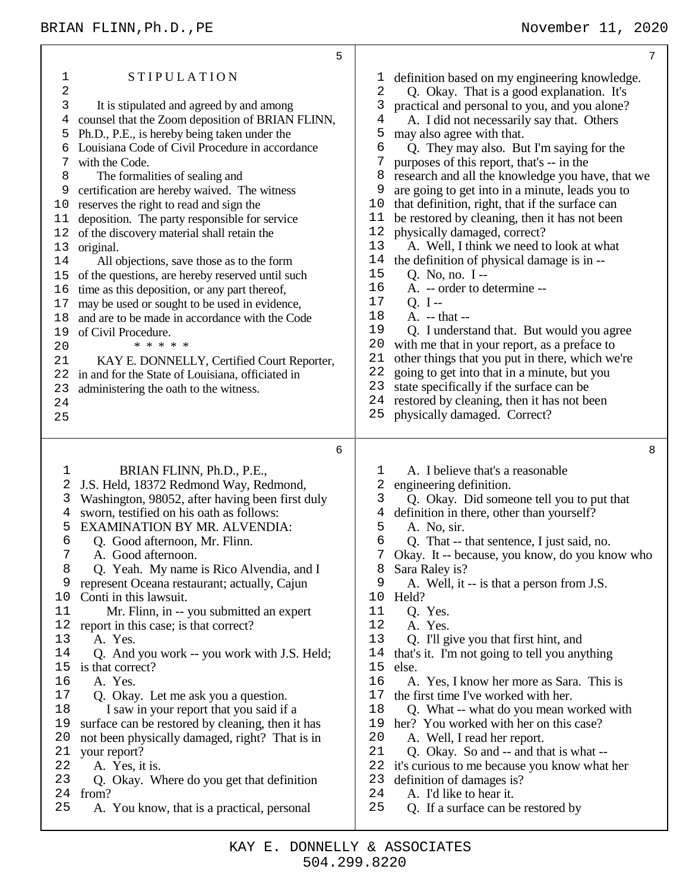|                                                                                                                                           | 5                                                                                                                                                                                                                                                                                                                                                                                                                                                                                                                                                                                                                                                                                                                                                                                                                                                                                                                     | 7                                                                                                                                                                                                                                                                                                                                                                                                                                                                                                                                                                                                                                                                                                                                                                                                                                                                                                                                                                                                                                                                                                                                                                                                                     |
|-------------------------------------------------------------------------------------------------------------------------------------------|-----------------------------------------------------------------------------------------------------------------------------------------------------------------------------------------------------------------------------------------------------------------------------------------------------------------------------------------------------------------------------------------------------------------------------------------------------------------------------------------------------------------------------------------------------------------------------------------------------------------------------------------------------------------------------------------------------------------------------------------------------------------------------------------------------------------------------------------------------------------------------------------------------------------------|-----------------------------------------------------------------------------------------------------------------------------------------------------------------------------------------------------------------------------------------------------------------------------------------------------------------------------------------------------------------------------------------------------------------------------------------------------------------------------------------------------------------------------------------------------------------------------------------------------------------------------------------------------------------------------------------------------------------------------------------------------------------------------------------------------------------------------------------------------------------------------------------------------------------------------------------------------------------------------------------------------------------------------------------------------------------------------------------------------------------------------------------------------------------------------------------------------------------------|
| 1<br>2<br>3<br>4<br>5<br>6<br>7<br>8<br>9<br>10<br>11<br>12<br>13<br>14<br>15<br>16<br>17<br>18<br>19<br>20<br>21<br>22<br>23<br>24<br>25 | <b>STIPULATION</b><br>It is stipulated and agreed by and among<br>counsel that the Zoom deposition of BRIAN FLINN,<br>Ph.D., P.E., is hereby being taken under the<br>Louisiana Code of Civil Procedure in accordance<br>with the Code.<br>The formalities of sealing and<br>certification are hereby waived. The witness<br>reserves the right to read and sign the<br>deposition. The party responsible for service<br>of the discovery material shall retain the<br>original.<br>All objections, save those as to the form<br>of the questions, are hereby reserved until such<br>time as this deposition, or any part thereof,<br>may be used or sought to be used in evidence,<br>and are to be made in accordance with the Code<br>of Civil Procedure.<br>* * * * *<br>KAY E. DONNELLY, Certified Court Reporter,<br>in and for the State of Louisiana, officiated in<br>administering the oath to the witness. | definition based on my engineering knowledge.<br>T<br>$\overline{2}$<br>Q. Okay. That is a good explanation. It's<br>3<br>practical and personal to you, and you alone?<br>A. I did not necessarily say that. Others<br>4<br>5<br>may also agree with that.<br>6<br>Q. They may also. But I'm saying for the<br>7<br>purposes of this report, that's -- in the<br>research and all the knowledge you have, that we<br>8<br>are going to get into in a minute, leads you to<br>9<br>that definition, right, that if the surface can<br>10<br>be restored by cleaning, then it has not been<br>11<br>12<br>physically damaged, correct?<br>13<br>A. Well, I think we need to look at what<br>the definition of physical damage is in --<br>14<br>15<br>Q. No, no. I --<br>16<br>A. -- order to determine --<br>17<br>$Q. I -$<br>18<br>A. -- that --<br>19<br>Q. I understand that. But would you agree<br>20<br>with me that in your report, as a preface to<br>21<br>other things that you put in there, which we're<br>22<br>going to get into that in a minute, but you<br>23<br>state specifically if the surface can be<br>24<br>restored by cleaning, then it has not been<br>25<br>physically damaged. Correct? |
| 1<br>2<br>3<br>4<br>5<br>6<br>7<br>8<br>9<br>10                                                                                           | 6<br>BRIAN FLINN, Ph.D., P.E.,<br>J.S. Held, 18372 Redmond Way, Redmond,<br>Washington, 98052, after having been first duly<br>sworn, testified on his oath as follows:<br>EXAMINATION BY MR. ALVENDIA:<br>Q. Good afternoon, Mr. Flinn.<br>A. Good afternoon.<br>Q. Yeah. My name is Rico Alvendia, and I<br>represent Oceana restaurant; actually, Cajun<br>Conti in this lawsuit.                                                                                                                                                                                                                                                                                                                                                                                                                                                                                                                                  | 8<br>A. I believe that's a reasonable<br>ı<br>2<br>engineering definition.<br>3<br>Q. Okay. Did someone tell you to put that<br>definition in there, other than yourself?<br>4<br>5<br>A. No, sir.<br>6<br>Q. That -- that sentence, I just said, no.<br>Okay. It -- because, you know, do you know who<br>7<br>8<br>Sara Raley is?<br>9<br>A. Well, it -- is that a person from J.S.<br>10<br>Held?                                                                                                                                                                                                                                                                                                                                                                                                                                                                                                                                                                                                                                                                                                                                                                                                                  |
| 11<br>12<br>13<br>14<br>15<br>16<br>17<br>18<br>19<br>20<br>21<br>22<br>23<br>24<br>25                                                    | Mr. Flinn, in -- you submitted an expert<br>report in this case; is that correct?<br>A. Yes.<br>Q. And you work -- you work with J.S. Held;<br>is that correct?<br>A. Yes.<br>Q. Okay. Let me ask you a question.<br>I saw in your report that you said if a<br>surface can be restored by cleaning, then it has<br>not been physically damaged, right? That is in<br>your report?<br>A. Yes, it is.<br>Q. Okay. Where do you get that definition<br>from?<br>A. You know, that is a practical, personal                                                                                                                                                                                                                                                                                                                                                                                                              | 11<br>Q. Yes.<br>12<br>A. Yes.<br>13<br>Q. I'll give you that first hint, and<br>14<br>that's it. I'm not going to tell you anything<br>15<br>else.<br>16<br>A. Yes, I know her more as Sara. This is<br>17<br>the first time I've worked with her.<br>18<br>Q. What -- what do you mean worked with<br>her? You worked with her on this case?<br>19<br>20<br>A. Well, I read her report.<br>21<br>Q. Okay. So and -- and that is what --<br>22<br>it's curious to me because you know what her<br>23<br>definition of damages is?<br>24<br>A. I'd like to hear it.<br>25<br>Q. If a surface can be restored by                                                                                                                                                                                                                                                                                                                                                                                                                                                                                                                                                                                                       |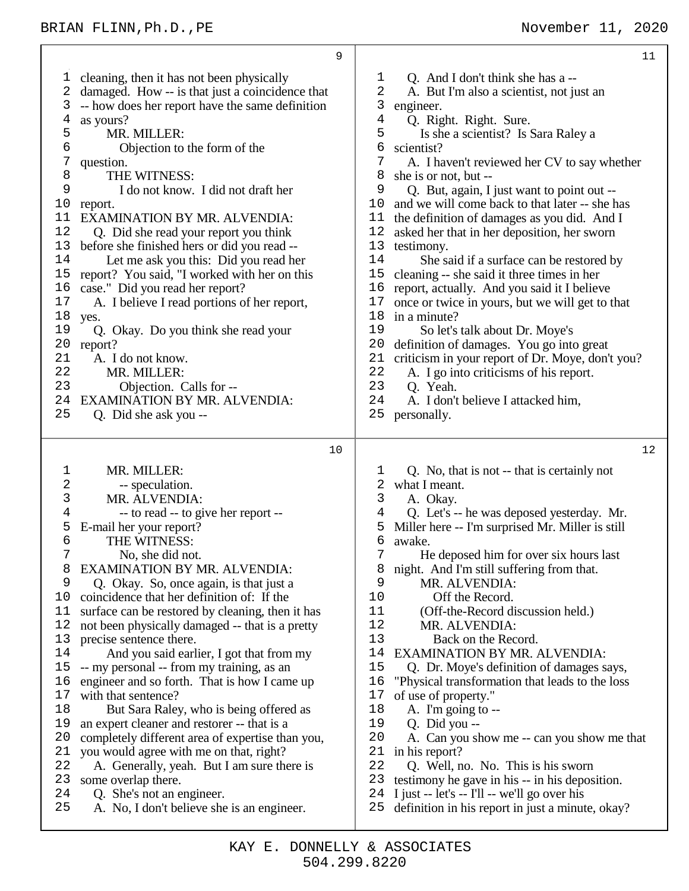cleaning, then it has not been physically damaged. How -- is that just a coincidence that -- how does her report have the same definition as yours? 5 MR. MILLER:<br>6 Objection to Objection to the form of the question. 8 THE WITNESS:<br>9 I do not know 9 I do not know. I did not draft her 10 report. report. EXAMINATION BY MR. ALVENDIA: Q. Did she read your report you think 13 before she finished hers or did you read --<br>14 Let me ask you this: Did you read he Let me ask you this: Did you read her report? You said, "I worked with her on this case." Did you read her report? A. I believe I read portions of her report, yes. Q. Okay. Do you think she read your report? A. I do not know. MR. MILLER: Objection. Calls for -- EXAMINATION BY MR. ALVENDIA: Q. Did she ask you --  $1<sub>0</sub>$  MR. MILLER: -- speculation. MR. ALVENDIA:<br> $4$  -- to read -- to gi -- to read -- to give her report -- E-mail her your report? 6 THE WITNESS:<br>7 No. she did no No, she did not. 8 EXAMINATION BY MR. ALVENDIA:<br>9 O Okay So once again is that just a Q. Okay. So, once again, is that just a coincidence that her definition of: If the surface can be restored by cleaning, then it has not been physically damaged -- that is a pretty precise sentence there. And you said earlier, I got that from my -- my personal -- from my training, as an engineer and so forth. That is how I came up with that sentence? 18 But Sara Raley, who is being offered as an expert cleaner and restorer -- that is a completely different area of expertise than you, you would agree with me on that, right? A. Generally, yeah. But I am sure there is some overlap there. Q. She's not an engineer. A. No, I don't believe she is an engineer. 1 Q. And I don't think she has a --<br>2 A. But I'm also a scientist, not iu 2 A. But I'm also a scientist, not just an<br>3 engineer. engineer. Q. Right. Right. Sure. Is she a scientist? Is Sara Raley a 6 scientist?<br>7 A I ha A. I haven't reviewed her CV to say whether she is or not, but -- Q. But, again, I just want to point out -- and we will come back to that later -- she has the definition of damages as you did. And I asked her that in her deposition, her sworn 13 testimony.<br>14 She sa She said if a surface can be restored by cleaning -- she said it three times in her report, actually. And you said it I believe once or twice in yours, but we will get to that in a minute? So let's talk about Dr. Moye's definition of damages. You go into great 21 criticism in your report of Dr. Moye, don't you?<br>22 A. I go into criticisms of his report. 22 A. I go into criticisms of his report.<br>23 O Yeah O. Yeah. A. I don't believe I attacked him, personally. Q. No, that is not -- that is certainly not what I meant. 3 A. Okay.<br>4 O. Let's - Q. Let's -- he was deposed yesterday. Mr. Miller here -- I'm surprised Mr. Miller is still awake. He deposed him for over six hours last night. And I'm still suffering from that. MR. ALVENDIA: Off the Record. 11 (Off-the-Record discussion held.)<br>12 MR ALVENDIA MR. ALVENDIA: Back on the Record. 14 EXAMINATION BY MR. ALVENDIA:<br>15 O. Dr. Move's definition of damages s Q. Dr. Moye's definition of damages says, "Physical transformation that leads to the loss of use of property." A. I'm going to -- 19 Q. Did you --<br>20 A. Can you sh A. Can you show me -- can you show me that in his report? Q. Well, no. No. This is his sworn testimony he gave in his -- in his deposition. I just -- let's -- I'll -- we'll go over his definition in his report in just a minute, okay?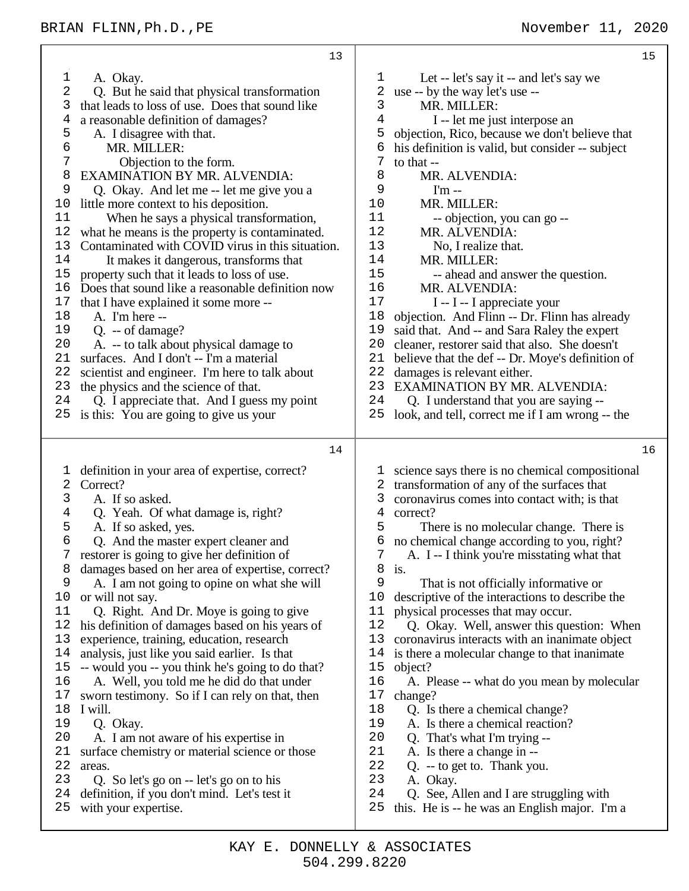13 1 A. Okay.<br>2 O. But he 2 Q. But he said that physical transformation 3 that leads to loss of use. Does that sound like 4 a reasonable definition of damages? 5 A. I disagree with that.<br>6 MR. MILLER: 6 MR. MILLER: Objection to the form. 8 EXAMINATION BY MR. ALVENDIA:<br>9 O Okay And let me -- let me give yo 9 Q. Okay. And let me -- let me give you a 10 little more context to his deposition. 11 When he says a physical transformation, 12 what he means is the property is contaminated. 13 Contaminated with COVID virus in this situation.<br>14 It makes it dangerous transforms that 14 It makes it dangerous, transforms that 15 property such that it leads to loss of use. property such that it leads to loss of use. 16 Does that sound like a reasonable definition now 17 that I have explained it some more --<br>18 A. I'm here --A. I'm here --19 Q. -- of damage? 20 A. -- to talk about physical damage to  $21$  surfaces. And I don't -- I'm a material surfaces. And I don't -- I'm a material 22 scientist and engineer. I'm here to talk about 23 the physics and the science of that. 24 Q. I appreciate that. And I guess my point 25 is this: You are going to give us your 14 1 definition in your area of expertise, correct? 2 Correct? 3 A. If so asked.<br>4 O. Yeah. Of w Q. Yeah. Of what damage is, right? 5 A. If so asked, yes. 6 Q. And the master expert cleaner and 7 restorer is going to give her definition of 8 damages based on her area of expertise, correct?<br>9 A I am not going to opine on what she will 9 A. I am not going to opine on what she will 10 or will not say. 11 Q. Right. And Dr. Moye is going to give 12 his definition of damages based on his years of 13 experience, training, education, research 14 analysis, just like you said earlier. Is that -- would you -- you think he's going to do that? 16 A. Well, you told me he did do that under 17 sworn testimony. So if I can rely on that, then 18 I will. 19 Q. Okay. 20 A. I am not aware of his expertise in 21 surface chemistry or material science or those 22 areas.<br>23  $\Omega$ 23 Q. So let's go on -- let's go on to his 24 definition, if you don't mind. Let's test it 25 with your expertise. 15 1 Let -- let's say it -- and let's say we<br>2 use -- by the way let's use --2 use -- by the way let's use --<br>3 MR MILLER 3 MR. MILLER:<br>4 I -- let me ius I -- let me just interpose an 5 objection, Rico, because we don't believe that  $6$  his definition is valid, but consider  $-$  subject  $7$  to that  $\frac{7}{8}$  to that --8 MR. ALVENDIA:<br>9  $\text{Im}$  --9 I'm --<br>10 MR. MI 10 MR. MILLER:<br>11 -- objection 11 -- objection, you can go --<br>12 MR AI VENDIA MR. ALVENDIA: 13 No, I realize that.<br>14 MR MII LER. 14 MR. MILLER:<br>15 -- ahead and 15 -- ahead and answer the question. 16 MR. ALVENDIA:<br>17 I -- I -- I appreci 17 I -- I -- I appreciate your<br>18 objection. And Flinn -- Dr. Flin objection. And Flinn -- Dr. Flinn has already 19 said that. And -- and Sara Raley the expert 20 cleaner, restorer said that also. She doesn't 21 believe that the def -- Dr. Move's definition believe that the def -- Dr. Moye's definition of 22 damages is relevant either.<br>23 EXAMINATION BY MR EXAMINATION BY MR. ALVENDIA: 24 Q. I understand that you are saying -- 25 look, and tell, correct me if I am wrong -- the 16 1 science says there is no chemical compositional 2 transformation of any of the surfaces that 3 coronavirus comes into contact with; is that 4 correct? 5 There is no molecular change. There is 6 no chemical change according to you, right? 7 A. I -- I think you're misstating what that  $\begin{matrix} 8 \\ 9 \end{matrix}$  is. That is not officially informative or 10 descriptive of the interactions to describe the 11 physical processes that may occur.<br>12 0. Okay. Well, answer this que 12 Q. Okay. Well, answer this question: When 13 coronavirus interacts with an inanimate object 14 is there a molecular change to that inanimate 15 object? object? 16 A. Please -- what do you mean by molecular 17 change? 18 Q. Is there a chemical change? 19 A. Is there a chemical reaction?<br>20 O That's what I'm trying --20 Q. That's what I'm trying -- 21 A. Is there a change in -- 22 Q. -- to get to. Thank you.<br>23 A. Okay A. Okay. 24 Q. See, Allen and I are struggling with 25 this. He is -- he was an English major. I'm a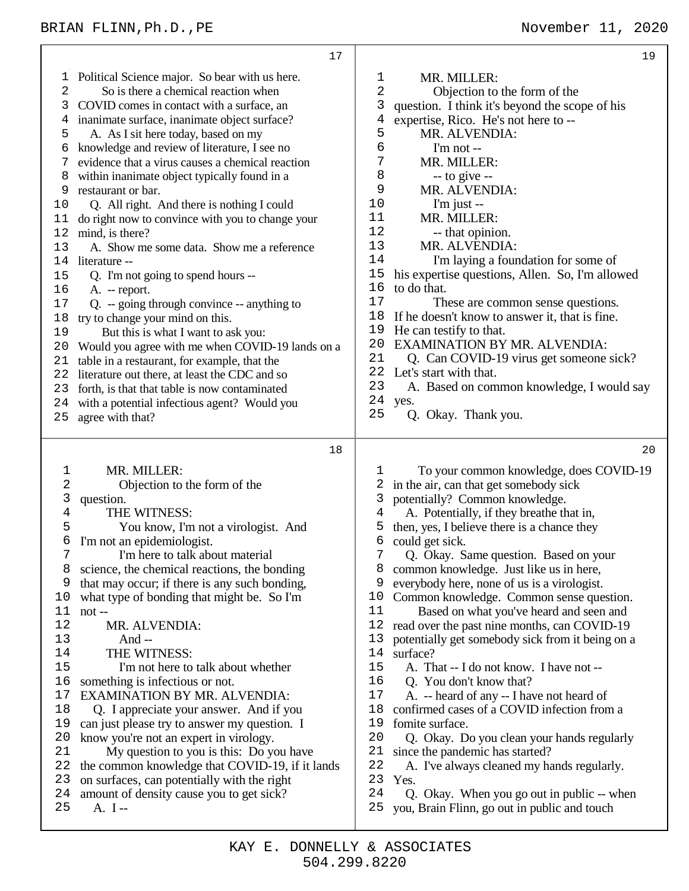|                                                                                                                                           | 17                                                                                                                                                                                                                                                                                                                                                                                                                                                                                                                                                                                                                                                                                                                                                                                                                                                                                                                                                                                                                                                  |                                                                                                                                              | 19                                                                                                                                                                                                                                                                                                                                                                                                                                                                                                                                                                                                                                                                                                                                                                                                                                                |
|-------------------------------------------------------------------------------------------------------------------------------------------|-----------------------------------------------------------------------------------------------------------------------------------------------------------------------------------------------------------------------------------------------------------------------------------------------------------------------------------------------------------------------------------------------------------------------------------------------------------------------------------------------------------------------------------------------------------------------------------------------------------------------------------------------------------------------------------------------------------------------------------------------------------------------------------------------------------------------------------------------------------------------------------------------------------------------------------------------------------------------------------------------------------------------------------------------------|----------------------------------------------------------------------------------------------------------------------------------------------|---------------------------------------------------------------------------------------------------------------------------------------------------------------------------------------------------------------------------------------------------------------------------------------------------------------------------------------------------------------------------------------------------------------------------------------------------------------------------------------------------------------------------------------------------------------------------------------------------------------------------------------------------------------------------------------------------------------------------------------------------------------------------------------------------------------------------------------------------|
| T<br>2<br>3<br>4<br>5<br>6<br>7<br>8<br>9<br>10<br>11<br>12<br>13<br>14<br>15<br>16<br>17<br>18<br>19<br>20<br>21<br>22<br>23<br>24<br>25 | Political Science major. So bear with us here.<br>So is there a chemical reaction when<br>COVID comes in contact with a surface, an<br>inanimate surface, inanimate object surface?<br>A. As I sit here today, based on my<br>knowledge and review of literature, I see no<br>evidence that a virus causes a chemical reaction<br>within inanimate object typically found in a<br>restaurant or bar.<br>Q. All right. And there is nothing I could<br>do right now to convince with you to change your<br>mind, is there?<br>A. Show me some data. Show me a reference<br>literature --<br>Q. I'm not going to spend hours --<br>A. -- report.<br>$Q. -$ going through convince -- anything to<br>try to change your mind on this.<br>But this is what I want to ask you:<br>Would you agree with me when COVID-19 lands on a<br>table in a restaurant, for example, that the<br>literature out there, at least the CDC and so<br>forth, is that that table is now contaminated<br>with a potential infectious agent? Would you<br>agree with that? | 1<br>2<br>3<br>4<br>5<br>$\epsilon$<br>7<br>8<br>9<br>10<br>11<br>12<br>13<br>14<br>15<br>16<br>17<br>18<br>19<br>20<br>21<br>23<br>24<br>25 | MR. MILLER:<br>Objection to the form of the<br>question. I think it's beyond the scope of his<br>expertise, Rico. He's not here to --<br>MR. ALVENDIA:<br>I'm not --<br>MR. MILLER:<br>$-$ to give $-$<br>MR. ALVENDIA:<br>$\Gamma$ m just --<br>MR. MILLER:<br>-- that opinion.<br>MR. ALVENDIA:<br>I'm laying a foundation for some of<br>his expertise questions, Allen. So, I'm allowed<br>to do that.<br>These are common sense questions.<br>If he doesn't know to answer it, that is fine.<br>He can testify to that.<br>EXAMINATION BY MR. ALVENDIA:<br>Q. Can COVID-19 virus get someone sick?<br>22 Let's start with that.<br>A. Based on common knowledge, I would say<br>yes.<br>Q. Okay. Thank you.                                                                                                                                  |
|                                                                                                                                           | 18                                                                                                                                                                                                                                                                                                                                                                                                                                                                                                                                                                                                                                                                                                                                                                                                                                                                                                                                                                                                                                                  |                                                                                                                                              | 20                                                                                                                                                                                                                                                                                                                                                                                                                                                                                                                                                                                                                                                                                                                                                                                                                                                |
| 1<br>2<br>3<br>$\overline{4}$<br>5<br>6<br>7<br>8<br>9<br>10<br>11<br>12<br>13<br>14<br>15<br>16<br>17<br>18<br>19<br>20<br>21            | MR. MILLER:<br>Objection to the form of the<br>question.<br>THE WITNESS:<br>You know, I'm not a virologist. And<br>I'm not an epidemiologist.<br>I'm here to talk about material<br>science, the chemical reactions, the bonding<br>that may occur; if there is any such bonding,<br>what type of bonding that might be. So I'm<br>not-<br>MR. ALVENDIA:<br>And $-$<br>THE WITNESS:<br>I'm not here to talk about whether<br>something is infectious or not.<br><b>EXAMINATION BY MR. ALVENDIA:</b><br>Q. I appreciate your answer. And if you<br>can just please try to answer my question. I<br>know you're not an expert in virology.<br>My question to you is this: Do you have                                                                                                                                                                                                                                                                                                                                                                 | ı<br>2<br>3<br>4<br>5<br>6<br>7<br>8<br>9<br>10<br>11<br>12<br>13<br>14<br>15<br>16<br>17<br>18<br>19<br>20<br>21                            | To your common knowledge, does COVID-19<br>in the air, can that get somebody sick<br>potentially? Common knowledge.<br>A. Potentially, if they breathe that in,<br>then, yes, I believe there is a chance they<br>could get sick.<br>Q. Okay. Same question. Based on your<br>common knowledge. Just like us in here,<br>everybody here, none of us is a virologist.<br>Common knowledge. Common sense question.<br>Based on what you've heard and seen and<br>read over the past nine months, can COVID-19<br>potentially get somebody sick from it being on a<br>surface?<br>A. That -- I do not know. I have not --<br>Q. You don't know that?<br>A. -- heard of any -- I have not heard of<br>confirmed cases of a COVID infection from a<br>fomite surface.<br>Q. Okay. Do you clean your hands regularly<br>since the pandemic has started? |
| 22                                                                                                                                        | the common knowledge that COVID-19, if it lands<br>23 on surfaces, can potentially with the right                                                                                                                                                                                                                                                                                                                                                                                                                                                                                                                                                                                                                                                                                                                                                                                                                                                                                                                                                   | 22<br>23                                                                                                                                     | A. I've always cleaned my hands regularly.<br>Yes.                                                                                                                                                                                                                                                                                                                                                                                                                                                                                                                                                                                                                                                                                                                                                                                                |

- on surfaces, can potentially with the right
- amount of density cause you to get sick?
- A. I --

Q. Okay. When you go out in public -- when

you, Brain Flinn, go out in public and touch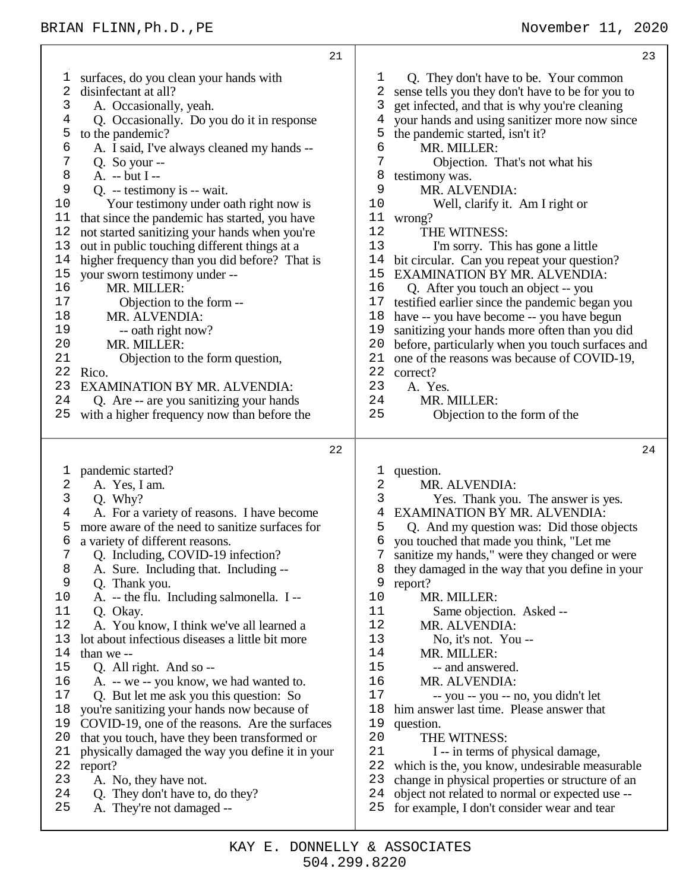| 21                                                                                                                                                                                                                                                                                                                                                                                                                                                                                                                                                                                                                                                                                                                                                                                                                                                                                                                                                                                                                             | 23                                                                                                                                                                                                                                                                                                                                                                                                                                                                                                                                                                                                                                                                                                                                                                                                                                                                                                                                                                                                               |
|--------------------------------------------------------------------------------------------------------------------------------------------------------------------------------------------------------------------------------------------------------------------------------------------------------------------------------------------------------------------------------------------------------------------------------------------------------------------------------------------------------------------------------------------------------------------------------------------------------------------------------------------------------------------------------------------------------------------------------------------------------------------------------------------------------------------------------------------------------------------------------------------------------------------------------------------------------------------------------------------------------------------------------|------------------------------------------------------------------------------------------------------------------------------------------------------------------------------------------------------------------------------------------------------------------------------------------------------------------------------------------------------------------------------------------------------------------------------------------------------------------------------------------------------------------------------------------------------------------------------------------------------------------------------------------------------------------------------------------------------------------------------------------------------------------------------------------------------------------------------------------------------------------------------------------------------------------------------------------------------------------------------------------------------------------|
| surfaces, do you clean your hands with<br>T<br>2<br>disinfectant at all?<br>3<br>A. Occasionally, yeah.<br>4<br>Q. Occasionally. Do you do it in response<br>5<br>to the pandemic?<br>6<br>A. I said, I've always cleaned my hands --<br>7<br>Q. So your $-$<br>8<br>A. -- but I --<br>9<br>Q. -- testimony is -- wait.<br>10<br>Your testimony under oath right now is<br>11<br>that since the pandemic has started, you have<br>12<br>not started sanitizing your hands when you're<br>13<br>out in public touching different things at a<br>higher frequency than you did before? That is<br>14<br>your sworn testimony under --<br>15<br>16<br>MR. MILLER:<br>17<br>Objection to the form --<br>18<br>MR. ALVENDIA:<br>19<br>-- oath right now?<br>20<br>MR. MILLER:<br>21<br>Objection to the form question,<br>22<br>Rico.<br>23<br>EXAMINATION BY MR. ALVENDIA:<br>24<br>Q. Are -- are you sanitizing your hands<br>25<br>with a higher frequency now than before the                                                   | Q. They don't have to be. Your common<br>1<br>2<br>sense tells you they don't have to be for you to<br>3<br>get infected, and that is why you're cleaning<br>your hands and using sanitizer more now since<br>4<br>5<br>the pandemic started, isn't it?<br>6<br>MR. MILLER:<br>7<br>Objection. That's not what his<br>8<br>testimony was.<br>9<br>MR. ALVENDIA:<br>10<br>Well, clarify it. Am I right or<br>11<br>wrong?<br>12<br>THE WITNESS:<br>13<br>I'm sorry. This has gone a little<br>bit circular. Can you repeat your question?<br>14<br>EXAMINATION BY MR. ALVENDIA:<br>15<br>16<br>Q. After you touch an object -- you<br>17<br>testified earlier since the pandemic began you<br>18<br>have -- you have become -- you have begun<br>19<br>sanitizing your hands more often than you did<br>20<br>before, particularly when you touch surfaces and<br>21<br>one of the reasons was because of COVID-19,<br>22<br>correct?<br>23<br>A. Yes.<br>24<br>MR. MILLER:<br>25<br>Objection to the form of the |
| 22                                                                                                                                                                                                                                                                                                                                                                                                                                                                                                                                                                                                                                                                                                                                                                                                                                                                                                                                                                                                                             | 24                                                                                                                                                                                                                                                                                                                                                                                                                                                                                                                                                                                                                                                                                                                                                                                                                                                                                                                                                                                                               |
| pandemic started?<br>ı<br>2<br>A. Yes, I am.<br>3<br>Q. Why?<br>4<br>A. For a variety of reasons. I have become<br>more aware of the need to sanitize surfaces for<br>5<br>6<br>a variety of different reasons.<br>7<br>Q. Including, COVID-19 infection?<br>8<br>A. Sure. Including that. Including --<br>9<br>Q. Thank you.<br>10<br>A. -- the flu. Including salmonella. I --<br>11<br>Q. Okay.<br>12<br>A. You know, I think we've all learned a<br>13<br>lot about infectious diseases a little bit more<br>14<br>than we --<br>15<br>Q. All right. And so --<br>16<br>A. -- we -- you know, we had wanted to.<br>17<br>Q. But let me ask you this question: So<br>18<br>you're sanitizing your hands now because of<br>19<br>COVID-19, one of the reasons. Are the surfaces<br>20<br>that you touch, have they been transformed or<br>21<br>physically damaged the way you define it in your<br>22<br>report?<br>23<br>A. No, they have not.<br>24<br>Q. They don't have to, do they?<br>25<br>A. They're not damaged -- | question.<br>T<br>2<br>MR. ALVENDIA:<br>3<br>Yes. Thank you. The answer is yes.<br>EXAMINATION BY MR. ALVENDIA:<br>4<br>Q. And my question was: Did those objects<br>5<br>6<br>you touched that made you think, "Let me<br>7 sanitize my hands," were they changed or were<br>8<br>they damaged in the way that you define in your<br>9<br>report?<br>10<br>MR. MILLER:<br>11<br>Same objection. Asked --<br>12<br>MR. ALVENDIA:<br>13<br>No, it's not. You --<br>14<br>MR. MILLER:<br>15<br>-- and answered.<br>16<br>MR. ALVENDIA:<br>17<br>-- you -- you -- no, you didn't let<br>18<br>him answer last time. Please answer that<br>19<br>question.<br>20<br>THE WITNESS:<br>21<br>I -- in terms of physical damage,<br>22<br>which is the, you know, undesirable measurable<br>23<br>change in physical properties or structure of an<br>24<br>object not related to normal or expected use --<br>25<br>for example, I don't consider wear and tear                                                          |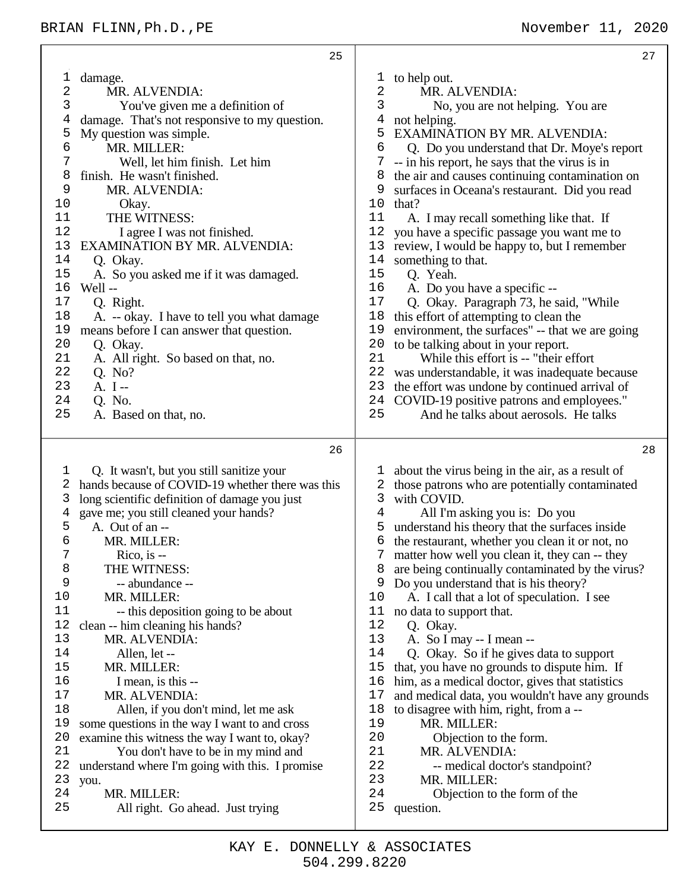|            | 25                                                        |                             | 27                                                                                        |
|------------|-----------------------------------------------------------|-----------------------------|-------------------------------------------------------------------------------------------|
| 1          | damage.                                                   | to help out.<br>$\mathbf 1$ |                                                                                           |
| $\sqrt{2}$ | MR. ALVENDIA:                                             | 2                           | MR. ALVENDIA:                                                                             |
| 3          | You've given me a definition of                           | 3                           | No, you are not helping. You are                                                          |
| 4          | damage. That's not responsive to my question.             | not helping.<br>4           |                                                                                           |
| 5          | My question was simple.                                   | 5                           | EXAMINATION BY MR. ALVENDIA:                                                              |
| 6          | MR. MILLER:                                               | 6                           | Q. Do you understand that Dr. Moye's report                                               |
| 7          | Well, let him finish. Let him                             | 7                           | -- in his report, he says that the virus is in                                            |
| 8          | finish. He wasn't finished.                               | 8                           | the air and causes continuing contamination on                                            |
| 9          | MR. ALVENDIA:                                             | 9                           | surfaces in Oceana's restaurant. Did you read                                             |
| 10         | Okay.                                                     | that?<br>10                 |                                                                                           |
| 11         | THE WITNESS:                                              | 11                          | A. I may recall something like that. If                                                   |
| 12         | I agree I was not finished.                               | 12                          | you have a specific passage you want me to                                                |
| 13         | EXAMINATION BY MR. ALVENDIA:                              | 13                          | review, I would be happy to, but I remember                                               |
| 14         | Q. Okay.                                                  | 14<br>something to that.    |                                                                                           |
| 15         | A. So you asked me if it was damaged.                     | 15<br>Q. Yeah.              |                                                                                           |
| 16         | Well-                                                     | 16                          | A. Do you have a specific --                                                              |
| 17         | Q. Right.                                                 | 17                          | Q. Okay. Paragraph 73, he said, "While                                                    |
| 18         | A. -- okay. I have to tell you what damage                | 18                          | this effort of attempting to clean the                                                    |
| 19         | means before I can answer that question.                  | 19                          | environment, the surfaces" -- that we are going                                           |
| 20         | Q. Okay.                                                  | 20                          | to be talking about in your report.                                                       |
| 21         | A. All right. So based on that, no.                       | 21                          | While this effort is -- "their effort"                                                    |
| 22         | Q. No?                                                    | 22                          | was understandable, it was inadequate because                                             |
| 23         | $A. I -$                                                  | 23                          | the effort was undone by continued arrival of                                             |
| 24         | Q. No.                                                    | 24                          | COVID-19 positive patrons and employees."                                                 |
| 25         | A. Based on that, no.                                     | 25                          | And he talks about aerosols. He talks                                                     |
|            |                                                           |                             |                                                                                           |
|            |                                                           |                             |                                                                                           |
|            | 26                                                        |                             | 28                                                                                        |
|            |                                                           |                             |                                                                                           |
| 1          | Q. It wasn't, but you still sanitize your                 | ı,                          | about the virus being in the air, as a result of                                          |
| 2<br>3     | hands because of COVID-19 whether there was this          | 2<br>3<br>with COVID.       | those patrons who are potentially contaminated                                            |
| 4          | long scientific definition of damage you just             | $\overline{4}$              |                                                                                           |
| 5          | gave me; you still cleaned your hands?<br>A. Out of an -- | 5                           | All I'm asking you is: Do you                                                             |
| 6          | MR. MILLER:                                               | 6                           | understand his theory that the surfaces inside                                            |
| 7          |                                                           |                             | the restaurant, whether you clean it or not, no                                           |
| 8          | $Rico$ , is $-$<br>THE WITNESS:                           | 8                           | matter how well you clean it, they can -- they                                            |
| 9          | -- abundance --                                           | 9                           | are being continually contaminated by the virus?<br>Do you understand that is his theory? |
| 10         | MR. MILLER:                                               | 10                          | A. I call that a lot of speculation. I see                                                |
| 11         | -- this deposition going to be about                      | 11                          | no data to support that.                                                                  |
| 12         | clean -- him cleaning his hands?                          | 12<br>Q. Okay.              |                                                                                           |
| 13         | MR. ALVENDIA:                                             | 13                          | A. So I may -- I mean --                                                                  |
| 14         | Allen, let --                                             | 14                          | Q. Okay. So if he gives data to support                                                   |
| 15         | MR. MILLER:                                               | 15                          | that, you have no grounds to dispute him. If                                              |
| 16         | I mean, is this --                                        | 16                          | him, as a medical doctor, gives that statistics                                           |
| 17         | MR. ALVENDIA:                                             | 17                          | and medical data, you wouldn't have any grounds                                           |
| 18         | Allen, if you don't mind, let me ask                      | 18                          | to disagree with him, right, from a --                                                    |
| 19         | some questions in the way I want to and cross             | 19                          | MR. MILLER:                                                                               |
| 20         | examine this witness the way I want to, okay?             | 20                          | Objection to the form.                                                                    |
| 21         | You don't have to be in my mind and                       | 21                          | MR. ALVENDIA:                                                                             |
| 22         | understand where I'm going with this. I promise           | 22                          | -- medical doctor's standpoint?                                                           |
| 23         | you.                                                      | 23                          | MR. MILLER:                                                                               |
| 24         | MR. MILLER:                                               | 24                          | Objection to the form of the                                                              |
| 25         | All right. Go ahead. Just trying                          | 25<br>question.             |                                                                                           |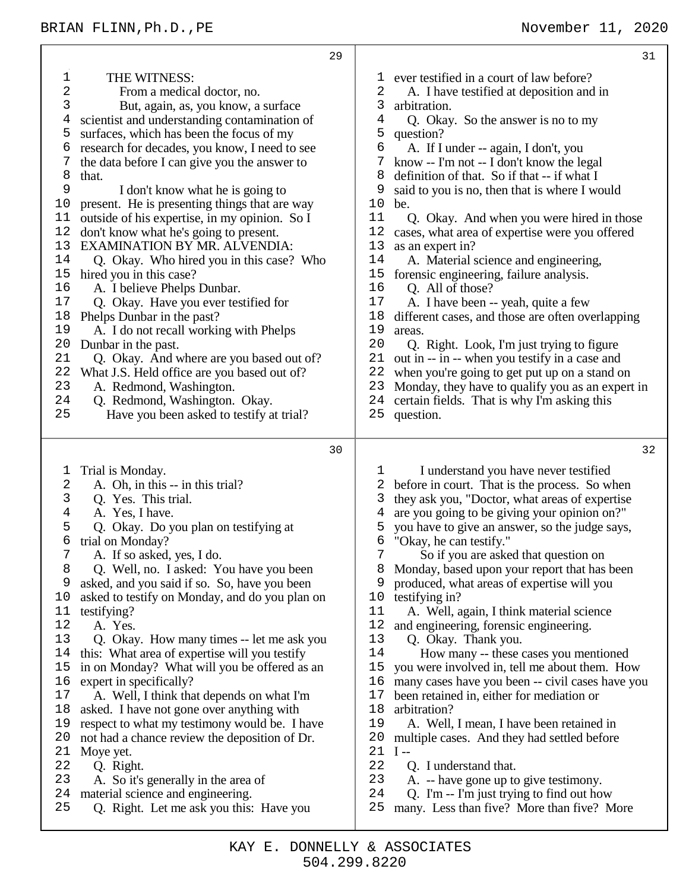|                                                                                                                                                        | 29                                                                                                                                                                                                                                                                                                                                                                                                                                                                                                                                                                                                                                                                                                                                                                                                                                                                                                 |                                                                                                                                                        | 31                                                                                                                                                                                                                                                                                                                                                                                                                                                                                                                                                                                                                                                                                                                                                                                                                                                                                                                                                                                                                     |
|--------------------------------------------------------------------------------------------------------------------------------------------------------|----------------------------------------------------------------------------------------------------------------------------------------------------------------------------------------------------------------------------------------------------------------------------------------------------------------------------------------------------------------------------------------------------------------------------------------------------------------------------------------------------------------------------------------------------------------------------------------------------------------------------------------------------------------------------------------------------------------------------------------------------------------------------------------------------------------------------------------------------------------------------------------------------|--------------------------------------------------------------------------------------------------------------------------------------------------------|------------------------------------------------------------------------------------------------------------------------------------------------------------------------------------------------------------------------------------------------------------------------------------------------------------------------------------------------------------------------------------------------------------------------------------------------------------------------------------------------------------------------------------------------------------------------------------------------------------------------------------------------------------------------------------------------------------------------------------------------------------------------------------------------------------------------------------------------------------------------------------------------------------------------------------------------------------------------------------------------------------------------|
| 1<br>$\sqrt{2}$<br>3<br>4<br>5<br>6<br>8<br>that.<br>9<br>10<br>11<br>12<br>13<br>14<br>15<br>16<br>17<br>18<br>19<br>20<br>21<br>22<br>23<br>24<br>25 | THE WITNESS:<br>From a medical doctor, no.<br>But, again, as, you know, a surface<br>scientist and understanding contamination of<br>surfaces, which has been the focus of my<br>research for decades, you know, I need to see<br>the data before I can give you the answer to<br>I don't know what he is going to<br>present. He is presenting things that are way<br>outside of his expertise, in my opinion. So I<br>don't know what he's going to present.<br>EXAMINATION BY MR. ALVENDIA:<br>Q. Okay. Who hired you in this case? Who<br>hired you in this case?<br>A. I believe Phelps Dunbar.<br>Q. Okay. Have you ever testified for<br>Phelps Dunbar in the past?<br>A. I do not recall working with Phelps<br>Dunbar in the past.<br>Q. Okay. And where are you based out of?<br>What J.S. Held office are you based out of?<br>A. Redmond, Washington.<br>Q. Redmond, Washington. Okay. | T<br>2<br>3<br>$\overline{4}$<br>5<br>6<br>7<br>8<br>9<br>10<br>11<br>12<br>13<br>14<br>15<br>16<br>17<br>18<br>19<br>20<br>21<br>22<br>23<br>24<br>25 | ever testified in a court of law before?<br>A. I have testified at deposition and in<br>arbitration.<br>Q. Okay. So the answer is no to my<br>question?<br>A. If I under -- again, I don't, you<br>know -- I'm not -- I don't know the legal<br>definition of that. So if that -- if what I<br>said to you is no, then that is where I would<br>be.<br>Q. Okay. And when you were hired in those<br>cases, what area of expertise were you offered<br>as an expert in?<br>A. Material science and engineering,<br>forensic engineering, failure analysis.<br>Q. All of those?<br>A. I have been -- yeah, quite a few<br>different cases, and those are often overlapping<br>areas.<br>Q. Right. Look, I'm just trying to figure<br>out in -- in -- when you testify in a case and<br>when you're going to get put up on a stand on<br>Monday, they have to qualify you as an expert in<br>certain fields. That is why I'm asking this                                                                                  |
|                                                                                                                                                        | Have you been asked to testify at trial?                                                                                                                                                                                                                                                                                                                                                                                                                                                                                                                                                                                                                                                                                                                                                                                                                                                           |                                                                                                                                                        | question.                                                                                                                                                                                                                                                                                                                                                                                                                                                                                                                                                                                                                                                                                                                                                                                                                                                                                                                                                                                                              |
|                                                                                                                                                        | 30                                                                                                                                                                                                                                                                                                                                                                                                                                                                                                                                                                                                                                                                                                                                                                                                                                                                                                 |                                                                                                                                                        | 32                                                                                                                                                                                                                                                                                                                                                                                                                                                                                                                                                                                                                                                                                                                                                                                                                                                                                                                                                                                                                     |
| 1<br>2<br>3<br>4<br>5<br>6<br>7<br>8<br>9<br>10<br>11<br>12<br>13<br>14<br>15<br>16<br>17<br>18<br>19<br>20<br>21<br>22<br>23<br>24<br>25              | Trial is Monday.<br>A. Oh, in this -- in this trial?<br>Q. Yes. This trial.<br>A. Yes, I have.<br>Q. Okay. Do you plan on testifying at<br>trial on Monday?<br>A. If so asked, yes, I do.<br>Q. Well, no. I asked: You have you been<br>asked, and you said if so. So, have you been<br>asked to testify on Monday, and do you plan on<br>testifying?<br>A. Yes.<br>Q. Okay. How many times -- let me ask you<br>this: What area of expertise will you testify<br>in on Monday? What will you be offered as an<br>expert in specifically?<br>A. Well, I think that depends on what I'm<br>asked. I have not gone over anything with<br>respect to what my testimony would be. I have<br>not had a chance review the deposition of Dr.<br>Moye yet.<br>Q. Right.<br>A. So it's generally in the area of<br>material science and engineering.<br>Q. Right. Let me ask you this: Have you             | T<br>2<br>3<br>4<br>5<br>6<br>7<br>8<br>9<br>10<br>11<br>12<br>13<br>14<br>15<br>16<br>17<br>18<br>19<br>20<br>21<br>22<br>23<br>24<br>25              | I understand you have never testified<br>before in court. That is the process. So when<br>they ask you, "Doctor, what areas of expertise<br>are you going to be giving your opinion on?"<br>you have to give an answer, so the judge says,<br>"Okay, he can testify."<br>So if you are asked that question on<br>Monday, based upon your report that has been<br>produced, what areas of expertise will you<br>testifying in?<br>A. Well, again, I think material science<br>and engineering, forensic engineering.<br>Q. Okay. Thank you.<br>How many -- these cases you mentioned<br>you were involved in, tell me about them. How<br>many cases have you been -- civil cases have you<br>been retained in, either for mediation or<br>arbitration?<br>A. Well, I mean, I have been retained in<br>multiple cases. And they had settled before<br>$I -$<br>Q. I understand that.<br>A. -- have gone up to give testimony.<br>Q. I'm -- I'm just trying to find out how<br>many. Less than five? More than five? More |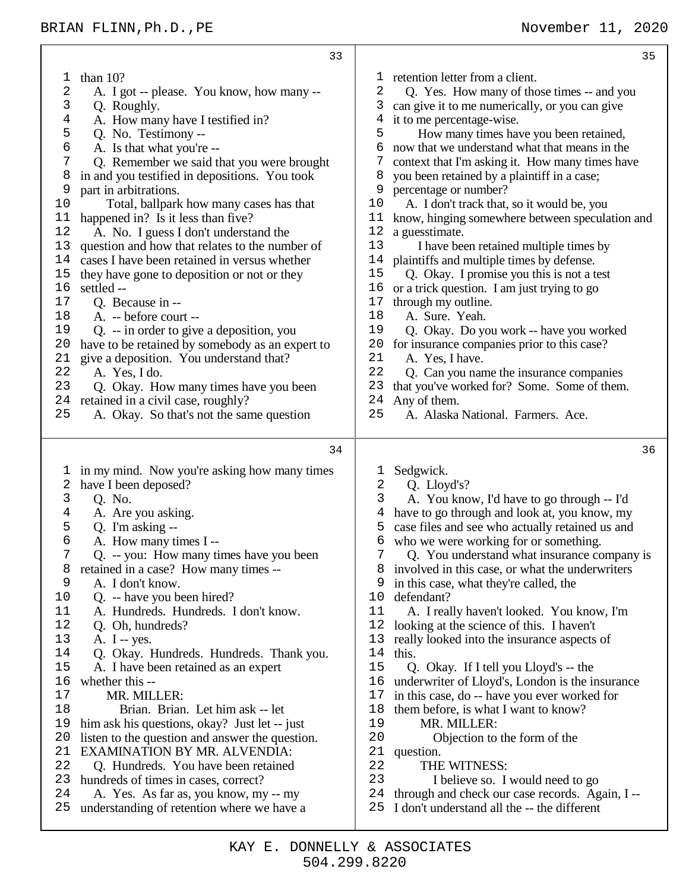| 35                                                                                                                                                                                                                                                                                                                                                                                                                                                                                                                                                                                                                                                                                                                                                                                                                                                                                                                                                                                                                                                                                                                                         |
|--------------------------------------------------------------------------------------------------------------------------------------------------------------------------------------------------------------------------------------------------------------------------------------------------------------------------------------------------------------------------------------------------------------------------------------------------------------------------------------------------------------------------------------------------------------------------------------------------------------------------------------------------------------------------------------------------------------------------------------------------------------------------------------------------------------------------------------------------------------------------------------------------------------------------------------------------------------------------------------------------------------------------------------------------------------------------------------------------------------------------------------------|
| retention letter from a client.<br>T<br>2<br>Q. Yes. How many of those times -- and you<br>can give it to me numerically, or you can give<br>3<br>4<br>it to me percentage-wise.<br>5<br>How many times have you been retained,<br>now that we understand what that means in the<br>6<br>7<br>context that I'm asking it. How many times have<br>you been retained by a plaintiff in a case;<br>8<br>9<br>percentage or number?<br>A. I don't track that, so it would be, you<br>10<br>11<br>know, hinging somewhere between speculation and<br>12<br>a guesstimate.<br>13<br>I have been retained multiple times by<br>plaintiffs and multiple times by defense.<br>14<br>15<br>Q. Okay. I promise you this is not a test<br>16<br>or a trick question. I am just trying to go<br>through my outline.<br>17<br>18<br>A. Sure. Yeah.<br>19<br>Q. Okay. Do you work -- have you worked<br>20<br>for insurance companies prior to this case?<br>21<br>A. Yes, I have.<br>22<br>Q. Can you name the insurance companies<br>23<br>that you've worked for? Some. Some of them.<br>24<br>Any of them.<br>25<br>A. Alaska National. Farmers. Ace. |
| 36<br>Sedgwick.<br>T<br>2<br>Q. Lloyd's?<br>3<br>A. You know, I'd have to go through -- I'd<br>have to go through and look at, you know, my<br>4<br>case files and see who actually retained us and<br>5<br>who we were working for or something.<br>6<br>7<br>Q. You understand what insurance company is<br>involved in this case, or what the underwriters<br>8<br>in this case, what they're called, the<br>9<br>10<br>defendant?<br>11<br>A. I really haven't looked. You know, I'm<br>12<br>looking at the science of this. I haven't<br>13<br>really looked into the insurance aspects of<br>14<br>this.<br>15<br>Q. Okay. If I tell you Lloyd's -- the<br>underwriter of Lloyd's, London is the insurance<br>16<br>17<br>in this case, do -- have you ever worked for<br>18<br>them before, is what I want to know?<br>19<br>MR. MILLER:<br>20<br>Objection to the form of the<br>21<br>question.<br>22<br>THE WITNESS:<br>23<br>I believe so. I would need to go<br>24<br>through and check our case records. Again, I--                                                                                                          |
|                                                                                                                                                                                                                                                                                                                                                                                                                                                                                                                                                                                                                                                                                                                                                                                                                                                                                                                                                                                                                                                                                                                                            |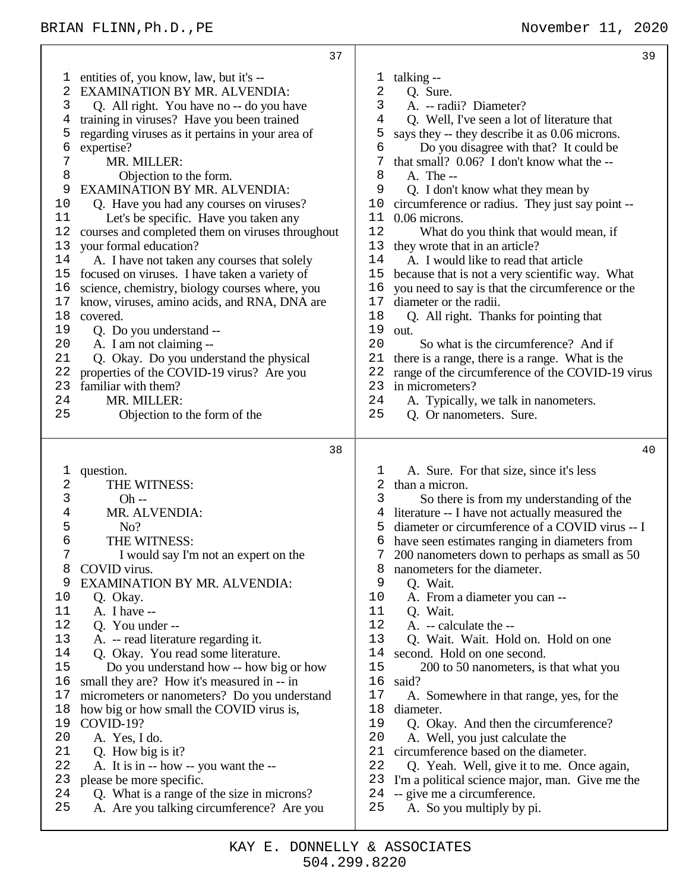entities of, you know, law, but it's -- EXAMINATION BY MR. ALVENDIA: Q. All right. You have no -- do you have training in viruses? Have you been trained regarding viruses as it pertains in your area of expertise? MR. MILLER: 8 Objection to the form.<br>9 EXAMINATION BY MR. AL EXAMINATION BY MR. ALVENDIA: Q. Have you had any courses on viruses? Let's be specific. Have you taken any courses and completed them on viruses throughout your formal education? A. I have not taken any courses that solely focused on viruses. I have taken a variety of science, chemistry, biology courses where, you know, viruses, amino acids, and RNA, DNA are covered. Q. Do you understand -- A. I am not claiming -- Q. Okay. Do you understand the physical properties of the COVID-19 virus? Are you familiar with them? 24 MR. MILLER:<br>25 Objection to Objection to the form of the question. THE WITNESS: 3 Oh --<br>4 MR. AI MR. ALVENDIA: 5 No?<br>6 THE W 6 THE WITNESS:<br>7 I would say I'm I would say I'm not an expert on the 8 COVID virus.<br>9 EXAMINATI EXAMINATION BY MR. ALVENDIA: Q. Okay.  $\begin{bmatrix} 11 & A. \end{bmatrix}$  Thave --<br>12 O. You und Q. You under -- A. -- read literature regarding it. 14 Q. Okay. You read some literature.<br>15 Do you understand how -- how bi Do you understand how -- how big or how small they are? How it's measured in -- in micrometers or nanometers? Do you understand how big or how small the COVID virus is, 19 COVID-19?<br>20 A Yes I A. Yes, I do. Q. How big is it? A. It is in -- how -- you want the -- please be more specific. Q. What is a range of the size in microns? A. Are you talking circumference? Are you talking -- 2 Q. Sure.<br>3 A. -- rad A. -- radii? Diameter? Q. Well, I've seen a lot of literature that 5 says they -- they describe it as 0.06 microns.<br>6 Do you disagree with that? It could be Do you disagree with that? It could be 7 that small?  $0.06$ ? I don't know what the  $-8$ <br>8 A The  $\begin{array}{cc} 8 & \text{A. The --} \\ 9 & \text{O. I don't} \end{array}$  Q. I don't know what they mean by circumference or radius. They just say point -- 0.06 microns. What do you think that would mean, if 13 they wrote that in an article?<br>14 A I would like to read that A. I would like to read that article because that is not a very scientific way. What you need to say is that the circumference or the diameter or the radii. Q. All right. Thanks for pointing that out. So what is the circumference? And if there is a range, there is a range. What is the range of the circumference of the COVID-19 virus in micrometers? 24 A. Typically, we talk in nanometers.<br>25 O. Or nanometers Sure Q. Or nanometers. Sure. A. Sure. For that size, since it's less than a micron. So there is from my understanding of the literature -- I have not actually measured the diameter or circumference of a COVID virus -- I have seen estimates ranging in diameters from 200 nanometers down to perhaps as small as 50 8 nanometers for the diameter.<br>9 O Wait O. Wait. A. From a diameter you can -- 11 Q. Wait.<br>12 A. -- calc A. -- calculate the --13 O. Wait. Wait. Hold on. Hold on one 14 second. Hold on one second.<br>15 200 to 50 nanometers, is 200 to 50 nanometers, is that what you said? A. Somewhere in that range, yes, for the diameter. 19 Q. Okay. And then the circumference?<br>20 A. Well you just calculate the A. Well, you just calculate the circumference based on the diameter. Q. Yeah. Well, give it to me. Once again, I'm a political science major, man. Give me the -- give me a circumference. A. So you multiply by pi.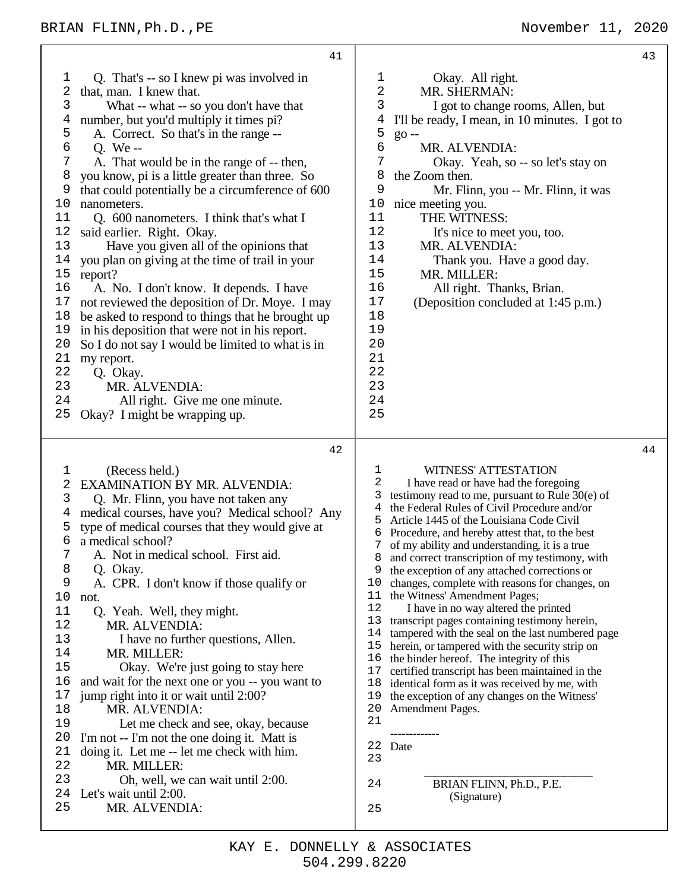|                                                                                                                                                   | 41                                                                                                                                                                                                                                                                                                                                                                                                                                                                                                                                                                                                                                                                                                                                                                                                                                                                                                                                      | 43                                                                                                                                                                                                                                                                                                                                                                                                                                                                                                                                                                                                                                                                                                                                                                                                                                                                                                                                                                                                                                                                                                                              |
|---------------------------------------------------------------------------------------------------------------------------------------------------|-----------------------------------------------------------------------------------------------------------------------------------------------------------------------------------------------------------------------------------------------------------------------------------------------------------------------------------------------------------------------------------------------------------------------------------------------------------------------------------------------------------------------------------------------------------------------------------------------------------------------------------------------------------------------------------------------------------------------------------------------------------------------------------------------------------------------------------------------------------------------------------------------------------------------------------------|---------------------------------------------------------------------------------------------------------------------------------------------------------------------------------------------------------------------------------------------------------------------------------------------------------------------------------------------------------------------------------------------------------------------------------------------------------------------------------------------------------------------------------------------------------------------------------------------------------------------------------------------------------------------------------------------------------------------------------------------------------------------------------------------------------------------------------------------------------------------------------------------------------------------------------------------------------------------------------------------------------------------------------------------------------------------------------------------------------------------------------|
| 1<br>2<br>3<br>4<br>5<br>6<br>7<br>8<br>9<br>10<br>11<br>12<br>13<br>14<br>$15$<br>16<br>17<br>18<br>19<br>20<br>21<br>22<br>23<br>24<br>25       | Q. That's -- so I knew pi was involved in<br>that, man. I knew that.<br>What -- what -- so you don't have that<br>number, but you'd multiply it times pi?<br>A. Correct. So that's in the range --<br>O. We-<br>A. That would be in the range of -- then,<br>you know, pi is a little greater than three. So<br>that could potentially be a circumference of 600<br>nanometers.<br>Q. 600 nanometers. I think that's what I<br>said earlier. Right. Okay.<br>Have you given all of the opinions that<br>you plan on giving at the time of trail in your<br>report?<br>A. No. I don't know. It depends. I have<br>not reviewed the deposition of Dr. Moye. I may<br>be asked to respond to things that he brought up<br>in his deposition that were not in his report.<br>So I do not say I would be limited to what is in<br>my report.<br>Q. Okay.<br>MR. ALVENDIA:<br>All right. Give me one minute.<br>Okay? I might be wrapping up. | 1<br>Okay. All right.<br>2<br>MR. SHERMAN:<br>3<br>I got to change rooms, Allen, but<br>I'll be ready, I mean, in 10 minutes. I got to<br>4<br>5<br>$go -$<br>6<br>MR. ALVENDIA:<br>7<br>Okay. Yeah, so -- so let's stay on<br>8<br>the Zoom then.<br>9<br>Mr. Flinn, you -- Mr. Flinn, it was<br>nice meeting you.<br>10<br>11<br>THE WITNESS:<br>12<br>It's nice to meet you, too.<br>13<br>MR. ALVENDIA:<br>14<br>Thank you. Have a good day.<br>15<br>MR. MILLER:<br>16<br>All right. Thanks, Brian.<br>17<br>(Deposition concluded at 1:45 p.m.)<br>18<br>19<br>20<br>21<br>22<br>23<br>24<br>25                                                                                                                                                                                                                                                                                                                                                                                                                                                                                                                           |
| 1<br>2<br>3<br>4<br>5<br>6<br>7<br>8<br>9<br>10<br>not.<br>11<br>12<br>13<br>14<br>15<br>16<br>17<br>18<br>19<br>20<br>21<br>22<br>23<br>24<br>25 | 42<br>(Recess held.)<br><b>EXAMINATION BY MR. ALVENDIA:</b><br>Q. Mr. Flinn, you have not taken any<br>medical courses, have you? Medical school? Any<br>type of medical courses that they would give at<br>a medical school?<br>A. Not in medical school. First aid.<br>Q. Okay.<br>A. CPR. I don't know if those qualify or<br>Q. Yeah. Well, they might.<br>MR. ALVENDIA:<br>I have no further questions, Allen.<br>MR. MILLER:<br>Okay. We're just going to stay here<br>and wait for the next one or you -- you want to<br>jump right into it or wait until 2:00?<br>MR. ALVENDIA:<br>Let me check and see, okay, because<br>I'm not -- I'm not the one doing it. Matt is<br>doing it. Let me -- let me check with him.<br>MR. MILLER:<br>Oh, well, we can wait until 2:00.<br>Let's wait until 2:00.<br>MR. ALVENDIA:                                                                                                             | 44<br>WITNESS' ATTESTATION<br>1<br>2<br>I have read or have had the foregoing<br>3<br>testimony read to me, pursuant to Rule $30(e)$ of<br>the Federal Rules of Civil Procedure and/or<br>4<br>5<br>Article 1445 of the Louisiana Code Civil<br>Procedure, and hereby attest that, to the best<br>6<br>7<br>of my ability and understanding, it is a true<br>and correct transcription of my testimony, with<br>8<br>the exception of any attached corrections or<br>9<br>10<br>changes, complete with reasons for changes, on<br>the Witness' Amendment Pages;<br>11<br>12<br>I have in no way altered the printed<br>13<br>transcript pages containing testimony herein,<br>14<br>tampered with the seal on the last numbered page<br>15<br>herein, or tampered with the security strip on<br>16<br>the binder hereof. The integrity of this<br>17<br>certified transcript has been maintained in the<br>18<br>identical form as it was received by me, with<br>the exception of any changes on the Witness'<br>19<br>20<br>Amendment Pages.<br>21<br>22<br>Date<br>23<br>24<br>BRIAN FLINN, Ph.D., P.E.<br>(Signature)<br>25 |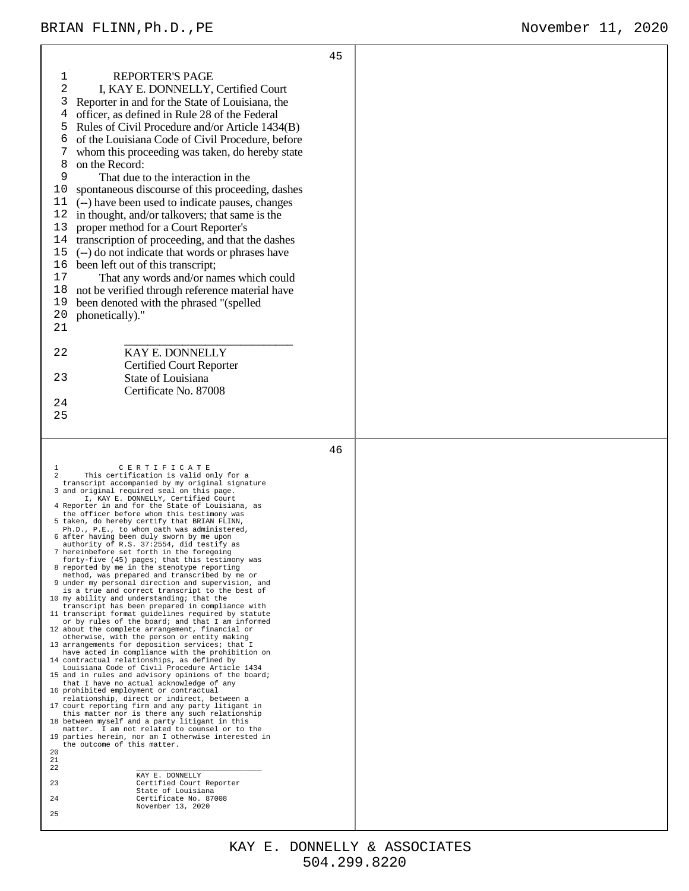$\mathbf{r}$ 

|                                                                                                                                                                                                                                                                                                                                                                                                                                                                                                                                                                                                                                                                                                                                                                                                                                                                                                                                                                                                                                                                                                                                                                                                                                                                                                                                                                                                                                                                                                                                                                                                                                                                                                                                                                                                                                                                                                                 | 45 |  |
|-----------------------------------------------------------------------------------------------------------------------------------------------------------------------------------------------------------------------------------------------------------------------------------------------------------------------------------------------------------------------------------------------------------------------------------------------------------------------------------------------------------------------------------------------------------------------------------------------------------------------------------------------------------------------------------------------------------------------------------------------------------------------------------------------------------------------------------------------------------------------------------------------------------------------------------------------------------------------------------------------------------------------------------------------------------------------------------------------------------------------------------------------------------------------------------------------------------------------------------------------------------------------------------------------------------------------------------------------------------------------------------------------------------------------------------------------------------------------------------------------------------------------------------------------------------------------------------------------------------------------------------------------------------------------------------------------------------------------------------------------------------------------------------------------------------------------------------------------------------------------------------------------------------------|----|--|
| 1<br><b>REPORTER'S PAGE</b><br>2<br>I, KAY E. DONNELLY, Certified Court<br>3<br>Reporter in and for the State of Louisiana, the<br>officer, as defined in Rule 28 of the Federal<br>4<br>Rules of Civil Procedure and/or Article 1434(B)<br>5<br>of the Louisiana Code of Civil Procedure, before<br>7<br>whom this proceeding was taken, do hereby state<br>on the Record:<br>8<br>9<br>That due to the interaction in the<br>10<br>spontaneous discourse of this proceeding, dashes<br>(--) have been used to indicate pauses, changes<br>11<br>in thought, and/or talkovers; that same is the<br>12<br>proper method for a Court Reporter's<br>13<br>14<br>transcription of proceeding, and that the dashes<br>15<br>(--) do not indicate that words or phrases have<br>16<br>been left out of this transcript;<br>17<br>That any words and/or names which could<br>not be verified through reference material have<br>18<br>been denoted with the phrased "(spelled<br>19<br>phonetically)."<br>20<br>21                                                                                                                                                                                                                                                                                                                                                                                                                                                                                                                                                                                                                                                                                                                                                                                                                                                                                                    |    |  |
| KAY E. DONNELLY<br>22<br><b>Certified Court Reporter</b>                                                                                                                                                                                                                                                                                                                                                                                                                                                                                                                                                                                                                                                                                                                                                                                                                                                                                                                                                                                                                                                                                                                                                                                                                                                                                                                                                                                                                                                                                                                                                                                                                                                                                                                                                                                                                                                        |    |  |
| State of Louisiana<br>23                                                                                                                                                                                                                                                                                                                                                                                                                                                                                                                                                                                                                                                                                                                                                                                                                                                                                                                                                                                                                                                                                                                                                                                                                                                                                                                                                                                                                                                                                                                                                                                                                                                                                                                                                                                                                                                                                        |    |  |
| Certificate No. 87008<br>24                                                                                                                                                                                                                                                                                                                                                                                                                                                                                                                                                                                                                                                                                                                                                                                                                                                                                                                                                                                                                                                                                                                                                                                                                                                                                                                                                                                                                                                                                                                                                                                                                                                                                                                                                                                                                                                                                     |    |  |
| 25                                                                                                                                                                                                                                                                                                                                                                                                                                                                                                                                                                                                                                                                                                                                                                                                                                                                                                                                                                                                                                                                                                                                                                                                                                                                                                                                                                                                                                                                                                                                                                                                                                                                                                                                                                                                                                                                                                              |    |  |
|                                                                                                                                                                                                                                                                                                                                                                                                                                                                                                                                                                                                                                                                                                                                                                                                                                                                                                                                                                                                                                                                                                                                                                                                                                                                                                                                                                                                                                                                                                                                                                                                                                                                                                                                                                                                                                                                                                                 |    |  |
|                                                                                                                                                                                                                                                                                                                                                                                                                                                                                                                                                                                                                                                                                                                                                                                                                                                                                                                                                                                                                                                                                                                                                                                                                                                                                                                                                                                                                                                                                                                                                                                                                                                                                                                                                                                                                                                                                                                 |    |  |
|                                                                                                                                                                                                                                                                                                                                                                                                                                                                                                                                                                                                                                                                                                                                                                                                                                                                                                                                                                                                                                                                                                                                                                                                                                                                                                                                                                                                                                                                                                                                                                                                                                                                                                                                                                                                                                                                                                                 | 46 |  |
| CERTIFICATE<br>1<br>$\mathcal{L}$<br>This certification is valid only for a<br>transcript accompanied by my original signature<br>3 and original required seal on this page.<br>I, KAY E. DONNELLY, Certified Court<br>4 Reporter in and for the State of Louisiana, as<br>the officer before whom this testimony was<br>5 taken, do hereby certify that BRIAN FLINN,<br>Ph.D., P.E., to whom oath was administered,<br>6 after having been duly sworn by me upon<br>authority of R.S. 37:2554, did testify as<br>7 hereinbefore set forth in the foregoing<br>forty-five (45) pages; that this testimony was<br>8 reported by me in the stenotype reporting<br>method, was prepared and transcribed by me or<br>9 under my personal direction and supervision, and<br>is a true and correct transcript to the best of<br>10 my ability and understanding; that the<br>transcript has been prepared in compliance with<br>11 transcript format guidelines required by statute<br>or by rules of the board; and that I am informed<br>12 about the complete arrangement, financial or<br>otherwise, with the person or entity making<br>13 arrangements for deposition services; that I<br>have acted in compliance with the prohibition on<br>14 contractual relationships, as defined by<br>Louisiana Code of Civil Procedure Article 1434<br>15 and in rules and advisory opinions of the board;<br>that I have no actual acknowledge of any<br>16 prohibited employment or contractual<br>relationship, direct or indirect, between a<br>17 court reporting firm and any party litigant in<br>this matter nor is there any such relationship<br>18 between myself and a party litigant in this<br>matter. I am not related to counsel or to the<br>19 parties herein, nor am I otherwise interested in<br>the outcome of this matter.<br>20<br>21<br>22<br>KAY E. DONNELLY<br>23<br>Certified Court Reporter |    |  |
|                                                                                                                                                                                                                                                                                                                                                                                                                                                                                                                                                                                                                                                                                                                                                                                                                                                                                                                                                                                                                                                                                                                                                                                                                                                                                                                                                                                                                                                                                                                                                                                                                                                                                                                                                                                                                                                                                                                 |    |  |
|                                                                                                                                                                                                                                                                                                                                                                                                                                                                                                                                                                                                                                                                                                                                                                                                                                                                                                                                                                                                                                                                                                                                                                                                                                                                                                                                                                                                                                                                                                                                                                                                                                                                                                                                                                                                                                                                                                                 |    |  |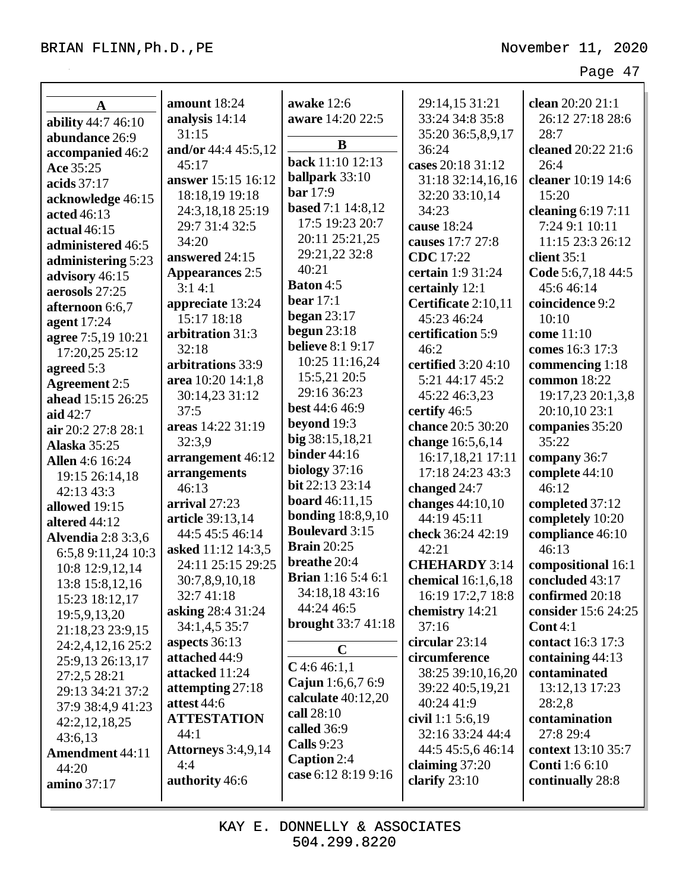| $\mathbf A$               | amount 18:24            | awake 12:6<br>aware 14:20 22:5 | 29:14,15 31:21<br>33:24 34:8 35:8 | clean 20:20 21:1<br>26:12 27:18 28:6 |
|---------------------------|-------------------------|--------------------------------|-----------------------------------|--------------------------------------|
| ability 44:7 46:10        | analysis 14:14<br>31:15 |                                |                                   |                                      |
| abundance 26:9            |                         | B                              | 35:20 36:5,8,9,17                 | 28:7                                 |
| accompanied 46:2          | and/or 44:4 45:5,12     | back 11:10 12:13               | 36:24                             | cleaned 20:22 21:6                   |
| Ace 35:25                 | 45:17                   | ballpark 33:10                 | cases 20:18 31:12                 | 26:4                                 |
| acids $37:17$             | answer 15:15 16:12      | <b>bar</b> 17:9                | 31:18 32:14,16,16                 | cleaner 10:19 14:6                   |
| acknowledge 46:15         | 18:18,19 19:18          | <b>based</b> 7:1 14:8,12       | 32:20 33:10,14                    | 15:20                                |
| acted 46:13               | 24:3,18,18 25:19        | 17:5 19:23 20:7                | 34:23                             | cleaning $6:197:11$                  |
| actual $46:15$            | 29:7 31:4 32:5          | 20:11 25:21,25                 | cause 18:24                       | 7:24 9:1 10:11                       |
| administered 46:5         | 34:20                   |                                | causes 17:7 27:8                  | 11:15 23:3 26:12                     |
| administering 5:23        | answered 24:15          | 29:21,22 32:8                  | <b>CDC</b> 17:22                  | client $35:1$                        |
| advisory 46:15            | <b>Appearances 2:5</b>  | 40:21                          | certain 1:9 31:24                 | Code 5:6,7,18 44:5                   |
| aerosols 27:25            | 3:14:1                  | <b>Baton 4:5</b>               | certainly 12:1                    | 45:6 46:14                           |
| afternoon 6:6,7           | appreciate 13:24        | bear $17:1$                    | Certificate 2:10,11               | coincidence 9:2                      |
| agent 17:24               | 15:17 18:18             | began $23:17$                  | 45:23 46:24                       | 10:10                                |
| agree 7:5,19 10:21        | arbitration 31:3        | begun $23:18$                  | certification 5:9                 | come 11:10                           |
| 17:20,25 25:12            | 32:18                   | <b>believe</b> 8:1 9:17        | 46:2                              | comes 16:3 17:3                      |
| agreed 5:3                | arbitrations 33:9       | 10:25 11:16,24                 | certified 3:20 4:10               | commencing 1:18                      |
| <b>Agreement 2:5</b>      | area 10:20 14:1,8       | 15:5,21 20:5                   | 5:21 44:17 45:2                   | common 18:22                         |
| ahead 15:15 26:25         | 30:14,23 31:12          | 29:16 36:23                    | 45:22 46:3,23                     | 19:17,23 20:1,3,8                    |
| aid 42:7                  | 37:5                    | <b>best</b> 44:6 46:9          | certify 46:5                      | 20:10,10 23:1                        |
| air 20:2 27:8 28:1        | areas 14:22 31:19       | beyond 19:3                    | chance 20:5 30:20                 | companies 35:20                      |
| <b>Alaska</b> 35:25       | 32:3,9                  | big 38:15,18,21                | change 16:5,6,14                  | 35:22                                |
| <b>Allen</b> 4:6 16:24    | arrangement 46:12       | <b>binder</b> 44:16            | 16:17,18,21 17:11                 | company 36:7                         |
| 19:15 26:14,18            | arrangements            | biology $37:16$                | 17:18 24:23 43:3                  | complete 44:10                       |
| 42:13 43:3                | 46:13                   | bit 22:13 23:14                | changed 24:7                      | 46:12                                |
| allowed 19:15             | arrival 27:23           | <b>board</b> 46:11,15          | changes 44:10,10                  | completed 37:12                      |
| altered 44:12             | article 39:13,14        | <b>bonding</b> 18:8,9,10       | 44:19 45:11                       | completely 10:20                     |
| <b>Alvendia</b> 2:8 3:3,6 | 44:5 45:5 46:14         | <b>Boulevard</b> 3:15          | check 36:24 42:19                 | compliance 46:10                     |
| 6:5,8 9:11,24 10:3        | asked 11:12 14:3,5      | <b>Brain</b> 20:25             | 42:21                             | 46:13                                |
| 10:8 12:9,12,14           | 24:11 25:15 29:25       | breathe 20:4                   | <b>CHEHARDY 3:14</b>              | compositional 16:1                   |
| 13:8 15:8,12,16           | 30:7,8,9,10,18          | <b>Brian</b> 1:16 5:4 6:1      | chemical 16:1,6,18                | concluded 43:17                      |
| 15:23 18:12,17            | 32:741:18               | 34:18,18 43:16                 | 16:19 17:2,7 18:8                 | confirmed 20:18                      |
| 19:5,9,13,20              | asking 28:4 31:24       | 44:24 46:5                     | chemistry 14:21                   | consider 15:6 24:25                  |
| 21:18,23 23:9,15          | 34:1,4,5 35:7           | <b>brought</b> 33:7 41:18      | 37:16                             | Cont $4:1$                           |
| 24:2,4,12,16 25:2         | aspects 36:13           |                                | circular $23:14$                  | contact 16:3 17:3                    |
| 25:9,13 26:13,17          | attached 44:9           | $\mathbf C$                    | circumference                     | containing $44:13$                   |
| 27:2,5 28:21              | attacked 11:24          | $C$ 4:6 46:1,1                 | 38:25 39:10,16,20                 | contaminated                         |
| 29:13 34:21 37:2          | attempting 27:18        | Cajun 1:6,6,7 6:9              | 39:22 40:5,19,21                  | 13:12,13 17:23                       |
| 37:9 38:4,9 41:23         | attest 44:6             | calculate 40:12,20             | 40:24 41:9                        | 28:2,8                               |
| 42:2,12,18,25             | <b>ATTESTATION</b>      | call 28:10                     | civil 1:1 $5:6,19$                | contamination                        |
| 43:6,13                   | 44:1                    | called 36:9                    | 32:16 33:24 44:4                  | 27:8 29:4                            |
| <b>Amendment 44:11</b>    | Attorneys 3:4,9,14      | <b>Calls</b> 9:23              | 44:5 45:5,6 46:14                 | context 13:10 35:7                   |
| 44:20                     | 4:4                     | Caption 2:4                    | claiming 37:20                    | <b>Conti</b> 1:6 6:10                |
| amino 37:17               | authority 46:6          | case 6:12 8:19 9:16            | clarify $23:10$                   | continually 28:8                     |
|                           |                         |                                |                                   |                                      |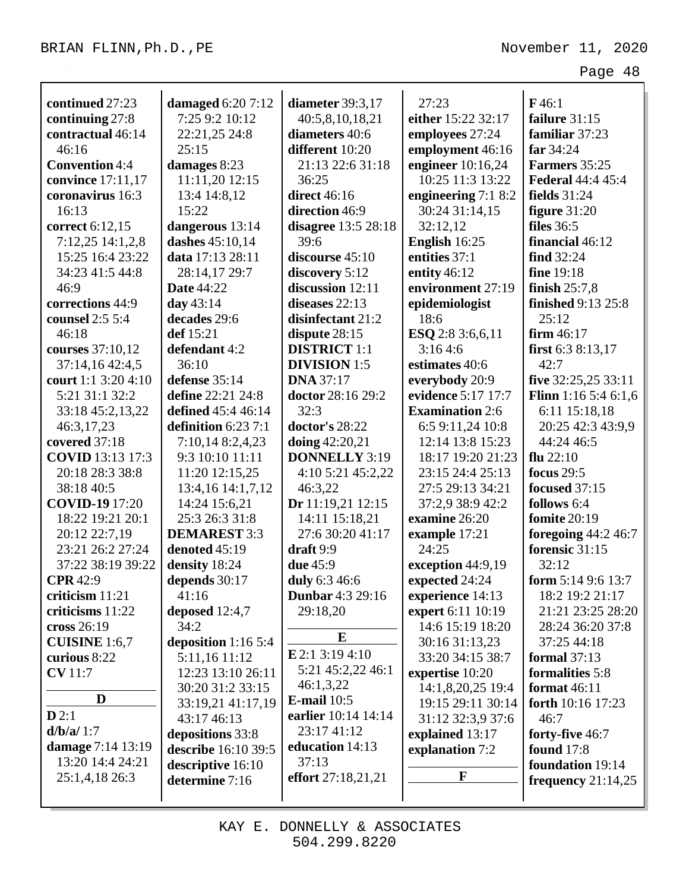| continued 27:23                      | damaged 6:20 7:12    | diameter 39:3,17        | 27:23                   | F46:1                       |
|--------------------------------------|----------------------|-------------------------|-------------------------|-----------------------------|
|                                      | 7:25 9:2 10:12       | 40:5,8,10,18,21         | either 15:22 32:17      | failure $31:15$             |
| continuing 27:8<br>contractual 46:14 |                      | diameters 40:6          |                         | familiar 37:23              |
| 46:16                                | 22:21,25 24:8        | different 10:20         | employees 27:24         | far 34:24                   |
| <b>Convention 4:4</b>                | 25:15                | 21:13 22:6 31:18        | employment 46:16        | Farmers 35:25               |
|                                      | damages 8:23         |                         | engineer $10:16,24$     |                             |
| convince 17:11,17                    | 11:11,20 12:15       | 36:25                   | 10:25 11:3 13:22        | <b>Federal 44:4 45:4</b>    |
| coronavirus 16:3                     | 13:4 14:8,12         | <b>direct</b> 46:16     | engineering 7:1 8:2     | fields $31:24$              |
| 16:13                                | 15:22                | direction 46:9          | 30:24 31:14,15          | figure $31:20$              |
| correct 6:12,15                      | dangerous 13:14      | disagree 13:5 28:18     | 32:12,12                | <b>files</b> 36:5           |
| 7:12,25 14:1,2,8                     | dashes 45:10,14      | 39:6                    | English 16:25           | financial 46:12             |
| 15:25 16:4 23:22                     | data 17:13 28:11     | discourse 45:10         | entities 37:1           | find $32:24$                |
| 34:23 41:5 44:8                      | 28:14,17 29:7        | discovery 5:12          | entity $46:12$          | fine 19:18                  |
| 46:9                                 | <b>Date 44:22</b>    | discussion 12:11        | environment 27:19       | finish $25:7,8$             |
| corrections 44:9                     | day $43:14$          | diseases 22:13          | epidemiologist          | <b>finished</b> 9:13 25:8   |
| counsel 2:5 5:4                      | decades 29:6         | disinfectant 21:2       | 18:6                    | 25:12                       |
| 46:18                                | def 15:21            | dispute $28:15$         | <b>ESQ</b> 2:8 3:6,6,11 | firm $46:17$                |
| courses 37:10,12                     | defendant 4:2        | <b>DISTRICT</b> 1:1     | 3:164:6                 | first $6:38:13,17$          |
| 37:14,16 42:4,5                      | 36:10                | <b>DIVISION 1:5</b>     | estimates 40:6          | 42:7                        |
| court 1:1 3:20 4:10                  | defense 35:14        | <b>DNA</b> 37:17        | everybody 20:9          | five 32:25,25 33:11         |
| 5:21 31:1 32:2                       | define 22:21 24:8    | doctor 28:16 29:2       | evidence 5:17 17:7      | <b>Flinn</b> 1:16 5:4 6:1,6 |
| 33:18 45:2,13,22                     | defined 45:4 46:14   | 32:3                    | <b>Examination 2:6</b>  | 6:11 15:18,18               |
| 46:3,17,23                           | definition $6:237:1$ | doctor's 28:22          | 6:5 9:11,24 10:8        | 20:25 42:3 43:9,9           |
| covered 37:18                        | 7:10,14 8:2,4,23     | doing $42:20,21$        | 12:14 13:8 15:23        | 44:24 46:5                  |
| <b>COVID</b> 13:13 17:3              | 9:3 10:10 11:11      | <b>DONNELLY 3:19</b>    | 18:17 19:20 21:23       | flu $22:10$                 |
| 20:18 28:3 38:8                      | 11:20 12:15,25       | 4:10 5:21 45:2,22       | 23:15 24:4 25:13        | focus $29:5$                |
| 38:18 40:5                           | 13:4,16 14:1,7,12    | 46:3,22                 | 27:5 29:13 34:21        | focused 37:15               |
| <b>COVID-19</b> 17:20                | 14:24 15:6,21        | Dr 11:19,21 12:15       | 37:2,9 38:9 42:2        | follows 6:4                 |
| 18:22 19:21 20:1                     | 25:3 26:3 31:8       | 14:11 15:18,21          | examine 26:20           | <b>fomite</b> 20:19         |
| 20:12 22:7,19                        | <b>DEMAREST 3:3</b>  | 27:6 30:20 41:17        | example 17:21           | foregoing $44:2,46:7$       |
| 23:21 26:2 27:24                     | denoted 45:19        | draft 9:9               | 24:25                   | forensic 31:15              |
| 37:22 38:19 39:22                    | density 18:24        | due 45:9                | exception 44:9,19       | 32:12                       |
| <b>CPR</b> 42:9                      | depends 30:17        | duly 6:3 46:6           | expected 24:24          | form $5:149:613:7$          |
| criticism 11:21                      | 41:16                | <b>Dunbar</b> 4:3 29:16 | experience 14:13        | 18:2 19:2 21:17             |
| criticisms 11:22                     | deposed $12:4,7$     | 29:18,20                | expert 6:11 10:19       | 21:21 23:25 28:20           |
| cross 26:19                          | 34:2                 |                         | 14:6 15:19 18:20        | 28:24 36:20 37:8            |
| <b>CUISINE</b> 1:6,7                 | deposition 1:16 5:4  | ${\bf E}$               | 30:16 31:13,23          | 37:25 44:18                 |
| curious 8:22                         | 5:11,16 11:12        | $E$ 2:1 3:19 4:10       | 33:20 34:15 38:7        | formal $37:13$              |
| <b>CV</b> 11:7                       | 12:23 13:10 26:11    | 5:21 45:2,22 46:1       | expertise 10:20         | formalities 5:8             |
|                                      | 30:20 31:2 33:15     | 46:1,3,22               | 14:1,8,20,25 19:4       | format $46:11$              |
| D                                    | 33:19,21 41:17,19    | E-mail $10:5$           | 19:15 29:11 30:14       | forth $10:16$ 17:23         |
| D2:1                                 | 43:17 46:13          | earlier 10:14 14:14     | 31:12 32:3,9 37:6       | 46:7                        |
| d/b/a/1:7                            | depositions 33:8     | 23:17 41:12             | explained 13:17         | forty-five 46:7             |
| damage 7:14 13:19                    | describe 16:10 39:5  | education 14:13         | explanation 7:2         | <b>found</b> 17:8           |
| 13:20 14:4 24:21                     | descriptive 16:10    | 37:13                   |                         | foundation 19:14            |
| 25:1,4,18 26:3                       | determine 7:16       | effort 27:18,21,21      | F                       | frequency $21:14,25$        |
|                                      |                      |                         |                         |                             |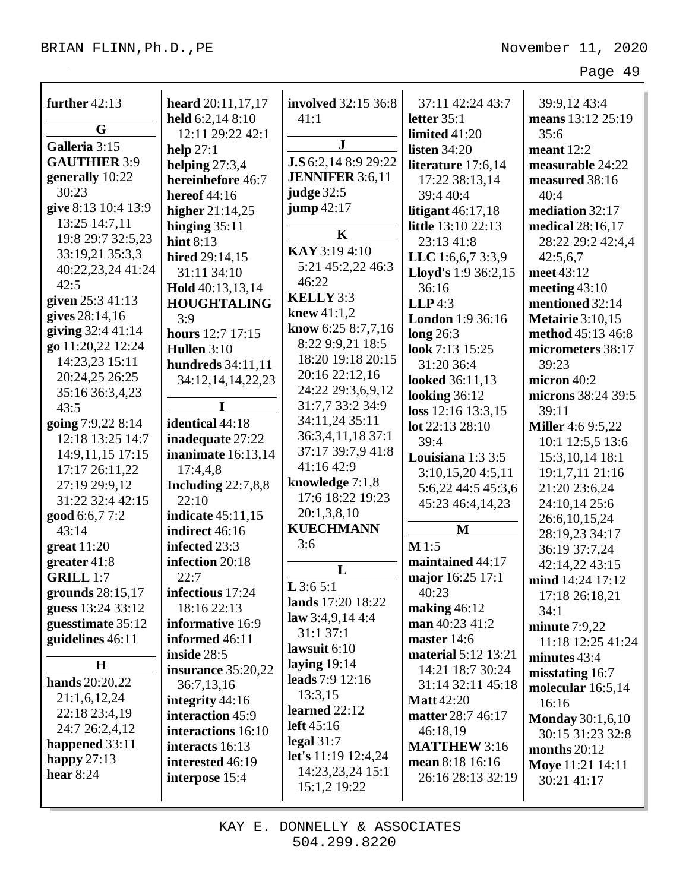| further $42:13$     | heard 20:11,17,17        | <b>involved</b> 32:15 36:8 | 37:11 42:24 43:7        | 39:9,12 43:4             |
|---------------------|--------------------------|----------------------------|-------------------------|--------------------------|
|                     | held 6:2,14 8:10         | 41:1                       | letter $35:1$           | means 13:12 25:19        |
| G                   | 12:11 29:22 42:1         |                            | limited 41:20           | 35:6                     |
| Galleria 3:15       | help $27:1$              | ${\bf J}$                  | listen $34:20$          | meant $12:2$             |
| <b>GAUTHIER 3:9</b> | helping $27:3,4$         | J.S 6:2,14 8:9 29:22       | literature 17:6,14      | measurable 24:22         |
| generally 10:22     | hereinbefore 46:7        | <b>JENNIFER</b> 3:6,11     | 17:22 38:13,14          | measured 38:16           |
| 30:23               | <b>hereof</b> 44:16      | <b>judge</b> 32:5          | 39:4 40:4               | 40:4                     |
| give 8:13 10:4 13:9 | higher $21:14,25$        | jump42:17                  | litigant $46:17,18$     | mediation 32:17          |
| 13:25 14:7,11       | hinging $35:11$          | $\mathbf K$                | little 13:10 22:13      | medical 28:16,17         |
| 19:8 29:7 32:5,23   | hint $8:13$              |                            | 23:13 41:8              | 28:22 29:2 42:4,4        |
| 33:19,21 35:3,3     | hired 29:14,15           | KAY 3:19 4:10              | LLC 1:6,6,7 3:3,9       | 42:5,6,7                 |
| 40:22,23,24 41:24   | 31:11 34:10              | 5:21 45:2,22 46:3          | Lloyd's 1:9 36:2,15     | meet 43:12               |
| 42:5                | Hold 40:13,13,14         | 46:22                      | 36:16                   | meeting $43:10$          |
| given 25:3 41:13    | <b>HOUGHTALING</b>       | <b>KELLY</b> 3:3           | $LLP$ 4:3               | mentioned 32:14          |
| gives 28:14,16      | 3:9                      | knew $41:1,2$              | <b>London</b> 1:9 36:16 | <b>Metairie</b> 3:10,15  |
| giving 32:4 41:14   | <b>hours</b> 12:7 17:15  | know 6:25 8:7,7,16         | long 26:3               | method 45:13 46:8        |
| go 11:20,22 12:24   | Hullen 3:10              | 8:22 9:9,21 18:5           | look 7:13 15:25         | micrometers 38:17        |
| 14:23,23 15:11      | <b>hundreds</b> 34:11,11 | 18:20 19:18 20:15          | 31:20 36:4              | 39:23                    |
| 20:24,25 26:25      | 34:12,14,14,22,23        | 20:16 22:12,16             | <b>looked</b> 36:11,13  | micron 40:2              |
| 35:16 36:3,4,23     |                          | 24:22 29:3,6,9,12          | looking $36:12$         | microns 38:24 39:5       |
| 43:5                | I                        | 31:7,7 33:2 34:9           | loss 12:16 13:3,15      | 39:11                    |
| going 7:9,22 8:14   | identical 44:18          | 34:11,24 35:11             | lot 22:13 28:10         | <b>Miller</b> 4:6 9:5,22 |
| 12:18 13:25 14:7    | inadequate 27:22         | 36:3,4,11,18 37:1          | 39:4                    | 10:1 12:5,5 13:6         |
| 14:9,11,15 17:15    | inanimate $16:13,14$     | 37:17 39:7,9 41:8          | Louisiana 1:3 3:5       | 15:3, 10, 14 18:1        |
| 17:17 26:11,22      | 17:4,4,8                 | 41:16 42:9                 | 3:10,15,204:5,11        | 19:1,7,11 21:16          |
| 27:19 29:9,12       | Including $22:7,8,8$     | knowledge $7:1,8$          | 5:6,22 44:5 45:3,6      | 21:20 23:6,24            |
| 31:22 32:4 42:15    | 22:10                    | 17:6 18:22 19:23           | 45:23 46:4,14,23        | 24:10,14 25:6            |
| good 6:6,77:2       | indicate 45:11,15        | 20:1,3,8,10                |                         | 26:6, 10, 15, 24         |
| 43:14               | indirect 46:16           | <b>KUECHMANN</b>           | $\mathbf{M}$            | 28:19,23 34:17           |
| $gr$ eat 11:20      | infected 23:3            | 3:6                        | $M$ 1:5                 | 36:19 37:7,24            |
| greater $41:8$      | infection 20:18          |                            | maintained 44:17        | 42:14,22 43:15           |
| <b>GRILL 1:7</b>    | 22:7                     | L                          | major 16:25 17:1        | mind 14:24 17:12         |
| grounds 28:15,17    | infectious 17:24         | $L$ 3:6 5:1                | 40:23                   | 17:18 26:18,21           |
| guess 13:24 33:12   | 18:16 22:13              | lands 17:20 18:22          | making $46:12$          | 34:1                     |
| guesstimate 35:12   | informative 16:9         | law $3:4,9,144:4$          | man $40:23\;41:2$       | minute $7:9,22$          |
| guidelines 46:11    | informed 46:11           | 31:137:1                   | master $14:6$           | 11:18 12:25 41:24        |
|                     | inside 28:5              | lawsuit $6:10$             | material 5:12 13:21     | minutes 43:4             |
| $\mathbf H$         | insurance 35:20,22       | laying $19:14$             | 14:21 18:7 30:24        | misstating $16:7$        |
| hands 20:20,22      | 36:7,13,16               | leads 7:9 12:16            | 31:14 32:11 45:18       | molecular 16:5,14        |
| 21:1,6,12,24        | integrity 44:16          | 13:3,15                    | <b>Matt</b> 42:20       | 16:16                    |
| 22:18 23:4,19       | interaction 45:9         | learned $22:12$            | matter 28:7 46:17       | <b>Monday</b> 30:1,6,10  |
| 24:7 26:2,4,12      | interactions 16:10       | left $45:16$               | 46:18,19                | 30:15 31:23 32:8         |
| happened 33:11      | interacts 16:13          | legal $31:7$               | <b>MATTHEW 3:16</b>     | months $20:12$           |
| happy $27:13$       | interested 46:19         | let's 11:19 12:4,24        | mean 8:18 16:16         | <b>Moye</b> 11:21 14:11  |
| hear $8:24$         | interpose 15:4           | 14:23,23,24 15:1           | 26:16 28:13 32:19       | 30:21 41:17              |
|                     |                          | 15:1,2 19:22               |                         |                          |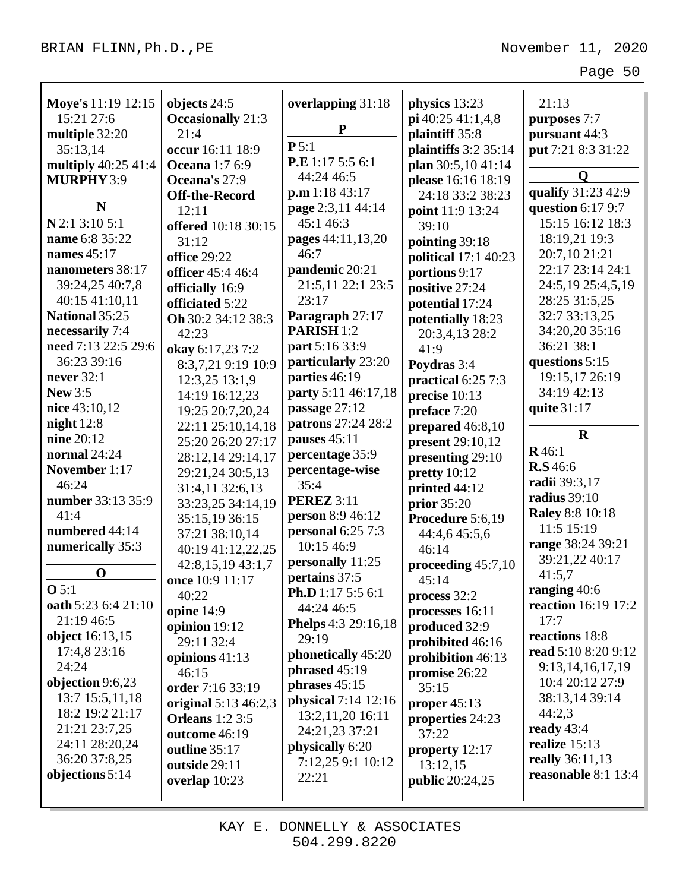| Moye's 11:19 12:15                     | objects 24:5             | overlapping 31:18                       | physics 13:23          | 21:13                                   |
|----------------------------------------|--------------------------|-----------------------------------------|------------------------|-----------------------------------------|
| 15:21 27:6                             | <b>Occasionally</b> 21:3 | ${\bf P}$                               | pi 40:25 41:1,4,8      | purposes 7:7                            |
| multiple 32:20                         | 21:4                     | P 5:1                                   | plaintiff 35:8         | pursuant 44:3                           |
| 35:13,14                               | occur 16:11 18:9         | P.E 1:17 5:5 6:1                        | plaintiffs $3:2$ 35:14 | put 7:21 8:3 31:22                      |
| multiply 40:25 41:4                    | <b>Oceana</b> 1:7 6:9    | 44:24 46:5                              | plan 30:5,10 41:14     | Q                                       |
| <b>MURPHY 3:9</b>                      | Oceana's 27:9            | p.m 1:18 43:17                          | please 16:16 18:19     | qualify 31:23 42:9                      |
| N                                      | <b>Off-the-Record</b>    | page 2:3,11 44:14                       | 24:18 33:2 38:23       | question $6:179:7$                      |
| N 2:1 3:10 5:1                         | 12:11                    | 45:1 46:3                               | point 11:9 13:24       | 15:15 16:12 18:3                        |
| name 6:8 35:22                         | offered 10:18 30:15      | pages 44:11,13,20                       | 39:10                  | 18:19,21 19:3                           |
| names $45:17$                          | 31:12                    | 46:7                                    | pointing 39:18         | 20:7,10 21:21                           |
| nanometers 38:17                       | <b>office 29:22</b>      | pandemic 20:21                          | political 17:1 40:23   | 22:17 23:14 24:1                        |
| 39:24,25 40:7,8                        | officer 45:4 46:4        | 21:5,11 22:1 23:5                       | portions 9:17          | 24:5,19 25:4,5,19                       |
| 40:15 41:10,11                         | officially 16:9          | 23:17                                   | positive 27:24         | 28:25 31:5,25                           |
| National 35:25                         | officiated 5:22          |                                         | potential 17:24        | 32:7 33:13,25                           |
|                                        | Oh 30:2 34:12 38:3       | Paragraph 27:17                         | potentially 18:23      |                                         |
| necessarily 7:4<br>need 7:13 22:5 29:6 | 42:23                    | PARISH <sub>1:2</sub><br>part 5:16 33:9 | 20:3,4,13 28:2         | 34:20,20 35:16<br>36:21 38:1            |
| 36:23 39:16                            | okay 6:17,23 7:2         |                                         | 41:9                   |                                         |
| never $32:1$                           | 8:3,7,21 9:19 10:9       | particularly 23:20                      | Poydras 3:4            | questions 5:15                          |
|                                        | 12:3,25 13:1,9           | parties 46:19                           | practical 6:25 7:3     | 19:15,17 26:19<br>34:19 42:13           |
| <b>New 3:5</b>                         | 14:19 16:12,23           | party 5:11 46:17,18                     | precise $10:13$        |                                         |
| nice $43:10,12$                        | 19:25 20:7,20,24         | passage 27:12                           | preface 7:20           | quite 31:17                             |
| night $12:8$                           | 22:11 25:10,14,18        | patrons 27:24 28:2                      | prepared 46:8,10       | $\mathbf R$                             |
| nine 20:12                             | 25:20 26:20 27:17        | pauses 45:11                            | present 29:10,12       | R46:1                                   |
| normal 24:24                           | 28:12,14 29:14,17        | percentage 35:9                         | presenting 29:10       | <b>R.S</b> 46:6                         |
| November 1:17                          | 29:21,24 30:5,13         | percentage-wise                         | pretty $10:12$         | radii 39:3,17                           |
| 46:24                                  | 31:4,11 32:6,13          | 35:4                                    | printed 44:12          | radius 39:10                            |
| number 33:13 35:9                      | 33:23,25 34:14,19        | <b>PEREZ</b> 3:11                       | <b>prior</b> 35:20     | <b>Raley 8:8 10:18</b>                  |
| 41:4                                   | 35:15,19 36:15           | <b>person</b> 8:9 46:12                 | Procedure 5:6,19       | 11:5 15:19                              |
| numbered 44:14                         | 37:21 38:10,14           | personal $6:257:3$                      | 44:4,6 45:5,6          | range 38:24 39:21                       |
| numerically 35:3                       | 40:19 41:12,22,25        | 10:15 46:9                              | 46:14                  | 39:21,22 40:17                          |
| $\mathbf 0$                            | 42:8,15,19 43:1,7        | personally 11:25                        | proceeding $45:7,10$   | 41:5,7                                  |
| O 5:1                                  | once 10:9 11:17          | pertains 37:5                           | 45:14                  | ranging 40:6                            |
| oath 5:23 6:4 21:10                    | 40:22                    | <b>Ph.D</b> 1:17 5:5 6:1                | process 32:2           | reaction 16:19 17:2                     |
| 21:19 46:5                             | opine 14:9               | 44:24 46:5                              | processes 16:11        | 17:7                                    |
| object 16:13,15                        | opinion 19:12            | Phelps 4:3 29:16,18                     | produced 32:9          | reactions 18:8                          |
| 17:4,8 23:16                           | 29:11 32:4               | 29:19                                   | prohibited 46:16       | read 5:10 8:20 9:12                     |
| 24:24                                  | opinions 41:13           | phonetically 45:20                      | prohibition 46:13      |                                         |
| objection 9:6,23                       | 46:15                    | phrased $45:19$                         | promise 26:22          | 9:13, 14, 16, 17, 19<br>10:4 20:12 27:9 |
|                                        | order 7:16 33:19         | phrases $45:15$                         | 35:15                  | 38:13,14 39:14                          |
| 13:7 15:5,11,18<br>18:2 19:2 21:17     | original 5:13 46:2,3     | physical 7:14 12:16                     | proper $45:13$         | 44:2,3                                  |
| 21:21 23:7,25                          | <b>Orleans</b> 1:2 3:5   | 13:2,11,20 16:11                        | properties 24:23       | ready $43:4$                            |
| 24:11 28:20,24                         | outcome 46:19            | 24:21,23 37:21                          | 37:22                  | realize $15:13$                         |
| 36:20 37:8,25                          | outline 35:17            | physically 6:20                         | property 12:17         | really 36:11,13                         |
|                                        | outside 29:11            | 7:12,25 9:1 10:12                       | 13:12,15               | reasonable 8:1 13:4                     |
| objections 5:14                        | overlap 10:23            | 22:21                                   | <b>public</b> 20:24,25 |                                         |
|                                        |                          |                                         |                        |                                         |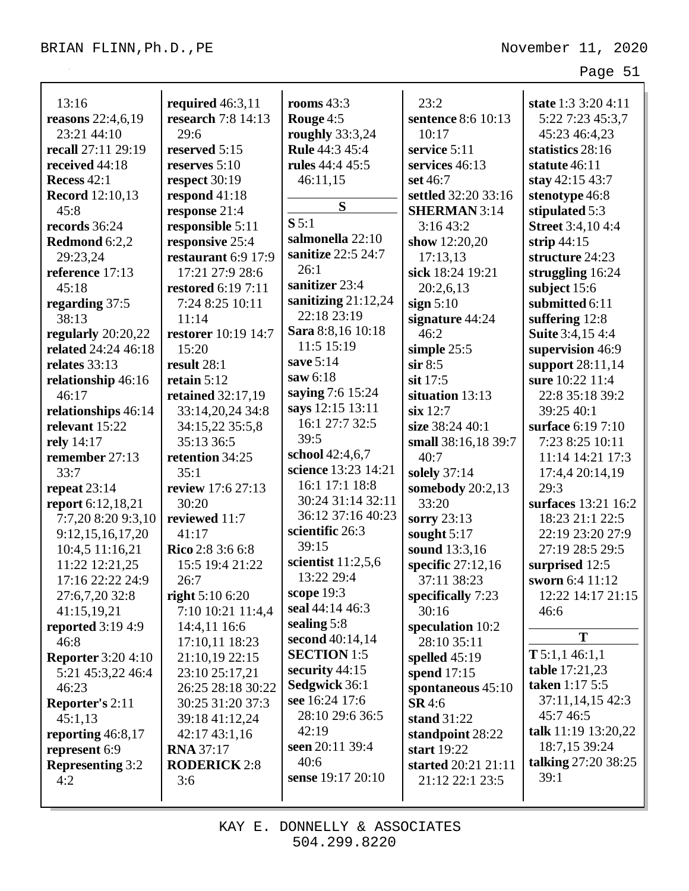| 13:16                      | required $46:3,11$  | rooms $43:3$          | 23:2                | state 1:3 3:20 4:11        |
|----------------------------|---------------------|-----------------------|---------------------|----------------------------|
| <b>reasons</b> $22:4,6,19$ | research 7:8 14:13  | Rouge 4:5             | sentence 8:6 10:13  | 5:22 7:23 45:3,7           |
| 23:21 44:10                | 29:6                | roughly 33:3,24       | 10:17               | 45:23 46:4,23              |
| recall 27:11 29:19         | reserved 5:15       | <b>Rule</b> 44:3 45:4 | service 5:11        | statistics 28:16           |
| received 44:18             | reserves $5:10$     | rules 44:4 45:5       | services 46:13      | statute 46:11              |
| Recess 42:1                | respect 30:19       | 46:11,15              | set 46:7            | stay $42:1543:7$           |
| <b>Record</b> 12:10,13     | respond 41:18       |                       | settled 32:20 33:16 | stenotype 46:8             |
| 45:8                       | response 21:4       | S                     | <b>SHERMAN</b> 3:14 | stipulated 5:3             |
| records 36:24              | responsible 5:11    | S 5:1                 | 3:1643:2            | <b>Street</b> 3:4,10 4:4   |
| Redmond 6:2,2              | responsive 25:4     | salmonella 22:10      | show 12:20,20       | strip $44:15$              |
| 29:23,24                   | restaurant 6:9 17:9 | sanitize 22:5 24:7    | 17:13,13            | structure 24:23            |
| reference 17:13            | 17:21 27:9 28:6     | 26:1                  | sick 18:24 19:21    | struggling 16:24           |
| 45:18                      | restored 6:19 7:11  | sanitizer 23:4        | 20:2,6,13           | subject 15:6               |
| regarding 37:5             | 7:24 8:25 10:11     | sanitizing $21:12,24$ | sign $5:10$         | submitted 6:11             |
| 38:13                      | 11:14               | 22:18 23:19           | signature 44:24     | suffering $12:8$           |
| regularly $20:20,22$       | restorer 10:19 14:7 | Sara 8:8,16 10:18     | 46:2                | Suite 3:4,15 4:4           |
| related 24:24 46:18        | 15:20               | 11:5 15:19            | simple $25:5$       | supervision 46:9           |
| relates 33:13              | result 28:1         | save 5:14             | $\sin 8:5$          | support 28:11,14           |
| relationship 46:16         | retain $5:12$       | saw 6:18              | sit $17:5$          | sure 10:22 11:4            |
| 46:17                      | retained 32:17,19   | saying 7:6 15:24      | situation 13:13     | 22:8 35:18 39:2            |
| relationships 46:14        | 33:14,20,24 34:8    | says 12:15 13:11      | $\textbf{six}$ 12:7 | 39:25 40:1                 |
| relevant 15:22             | 34:15,22 35:5,8     | 16:1 27:7 32:5        | size 38:24 40:1     | surface 6:19 7:10          |
| rely 14:17                 | 35:13 36:5          | 39:5                  | small 38:16,18 39:7 | 7:23 8:25 10:11            |
| remember 27:13             | retention 34:25     | school 42:4,6,7       | 40:7                | 11:14 14:21 17:3           |
| 33:7                       | 35:1                | science 13:23 14:21   | solely 37:14        | 17:4,4 20:14,19            |
| repeat $23:14$             | review 17:6 27:13   | 16:1 17:1 18:8        | somebody 20:2,13    | 29:3                       |
| report 6:12,18,21          | 30:20               | 30:24 31:14 32:11     | 33:20               | surfaces 13:21 16:2        |
| 7:7,20 8:20 9:3,10         | reviewed 11:7       | 36:12 37:16 40:23     | sorry 23:13         | 18:23 21:1 22:5            |
| 9:12, 15, 16, 17, 20       | 41:17               | scientific 26:3       | sought 5:17         | 22:19 23:20 27:9           |
| 10:4,5 11:16,21            | Rico 2:8 3:6 6:8    | 39:15                 | sound 13:3,16       | 27:19 28:5 29:5            |
| 11:22 12:21,25             | 15:5 19:4 21:22     | scientist $11:2,5,6$  | specific 27:12,16   | surprised 12:5             |
| 17:16 22:22 24:9           | 26:7                | 13:22 29:4            | 37:11 38:23         | sworn 6:4 11:12            |
| 27:6,7,20 32:8             | right $5:106:20$    | scope 19:3            | specifically $7:23$ | 12:22 14:17 21:15          |
| 41:15,19,21                | 7:10 10:21 11:4,4   | seal 44:14 46:3       | 30:16               | 46:6                       |
| reported $3:194:9$         | 14:4,11 16:6        | sealing 5:8           | speculation 10:2    |                            |
| 46:8                       | 17:10,11 18:23      | second 40:14,14       | 28:10 35:11         | T                          |
| <b>Reporter 3:20 4:10</b>  | 21:10,19 22:15      | <b>SECTION</b> 1:5    | spelled 45:19       | $T$ 5:1,1 46:1,1           |
| 5:21 45:3,22 46:4          | 23:10 25:17,21      | security $44:15$      | spend 17:15         | <b>table</b> 17:21,23      |
| 46:23                      | 26:25 28:18 30:22   | Sedgwick 36:1         | spontaneous $45:10$ | taken 1:17 5:5             |
| <b>Reporter's 2:11</b>     | 30:25 31:20 37:3    | see 16:24 17:6        | <b>SR</b> 4:6       | 37:11,14,15 42:3           |
| 45:1,13                    | 39:18 41:12,24      | 28:10 29:6 36:5       | stand $31:22$       | 45:7 46:5                  |
| reporting $46:8,17$        | 42:1743:1,16        | 42:19                 | standpoint 28:22    | talk 11:19 13:20,22        |
| represent 6:9              | <b>RNA</b> 37:17    | seen 20:11 39:4       | start 19:22         | 18:7,15 39:24              |
| <b>Representing 3:2</b>    | <b>RODERICK 2:8</b> | 40:6                  | started 20:21 21:11 | <b>talking 27:20 38:25</b> |
| 4:2                        | 3:6                 | sense 19:17 20:10     | 21:12 22:1 23:5     | 39:1                       |
|                            |                     |                       |                     |                            |